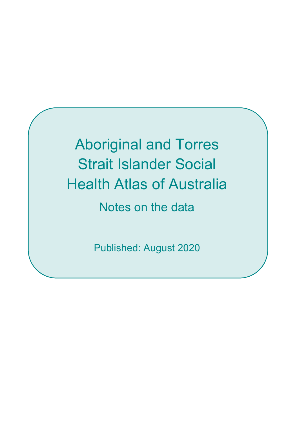Aboriginal and Torres Strait Islander Social Health Atlas of Australia Notes on the data

Published: August 2020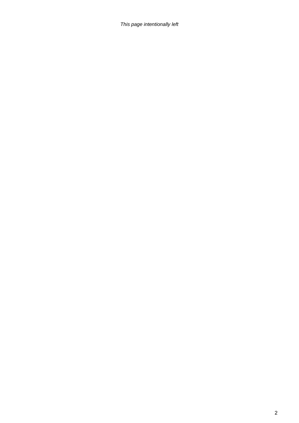*This page intentionally left*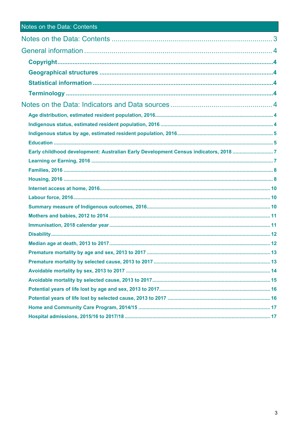|  |  | <b>Notes on the Data: Contents</b> |
|--|--|------------------------------------|
|  |  |                                    |

| Early childhood development: Australian Early Development Census indicators, 2018 7 |  |
|-------------------------------------------------------------------------------------|--|
|                                                                                     |  |
|                                                                                     |  |
|                                                                                     |  |
|                                                                                     |  |
|                                                                                     |  |
|                                                                                     |  |
|                                                                                     |  |
|                                                                                     |  |
|                                                                                     |  |
|                                                                                     |  |
|                                                                                     |  |
|                                                                                     |  |
|                                                                                     |  |
|                                                                                     |  |
|                                                                                     |  |
|                                                                                     |  |
|                                                                                     |  |
|                                                                                     |  |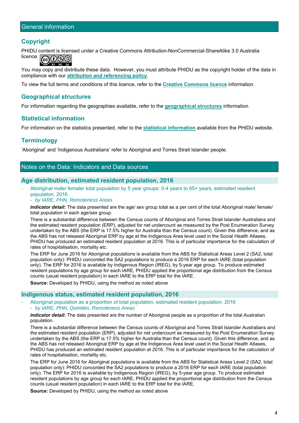### **Copyright**

PHIDU content is licensed under a Creative Commons Attribution-NonCommercial-ShareAlike 3.0 Australia licence. ෬෬෧

You may copy and distribute these data. However, you must attribute PHIDU as the copyright holder of the data in compliance with our **attribution and referencing policy**.

To view the full terms and conditions of this licence, refer to the **Creative Commons licence** information.

### **Geographical structures**

For information regarding the geographies available, refer to the **geographical structures** information.

### **Statistical information**

For information on the statistics presented, refer to the **statistical information** available from the PHIDU website.

### **Terminology**

'Aboriginal' and 'Indigenous Australians' refer to Aboriginal and Torres Strait Islander people.

### Notes on the Data: Indicators and Data sources

#### **Age distribution, estimated resident population, 2016**

‐ Aboriginal male/ female/ total population by 5 year groups: 0-4 years to 65+ years, estimated resident population, 2016

#### - *by IARE, PHN, Remoteness Areas*

*Indicator detail***:** The data presented are the age/ sex group total as a per cent of the total Aboriginal male/ female/ total population in each age/sex group.

There is a substantial difference between the Census counts of Aboriginal and Torres Strait Islander Australians and the estimated resident population (ERP), adjusted for net undercount as measured by the Post Enumeration Survey undertaken by the ABS (the ERP is 17.5% higher for Australia than the Census count). Given this difference, and as the ABS has not released Aboriginal ERP by age at the Indigenous Area level used in the Social Health Atlases, PHIDU has produced an estimated resident population at 2016. This is of particular importance for the calculation of rates of hospitalisation, mortality etc.

The ERP for June 2016 for Aboriginal populations is available from the ABS for Statistical Areas Level 2 (SA2, total population only): PHIDU concorded the SA2 populations to produce a 2016 ERP for each IARE (total population only). The ERP for 2016 is available by Indigenous Region (IREG), by 5-year age group. To produce estimated resident populations by age group for each IARE, PHIDU applied the proportional age distribution from the Census counts (usual resident population) in each IARE to the ERP total for the IARE.

**Source:** Developed by PHIDU, using the method as noted above

#### **Indigenous status, estimated resident population, 2016**

‐ Aboriginal population as a proportion of total population, estimated resident population, 2016 - *by IARE, PHN, Quintiles, Remoteness Areas* 

*Indicator detail***:** The data presented are the number of Aboriginal people as a proportion of the total Australian population.

There is a substantial difference between the Census counts of Aboriginal and Torres Strait Islander Australians and the estimated resident population (ERP), adjusted for net undercount as measured by the Post Enumeration Survey undertaken by the ABS (the ERP is 17.5% higher for Australia than the Census count). Given this difference, and as the ABS has not released Aboriginal ERP by age at the Indigenous Area level used in the Social Health Atlases, PHIDU has produced an estimated resident population at 2016. This is of particular importance for the calculation of rates of hospitalisation, mortality etc.

The ERP for June 2016 for Aboriginal populations is available from the ABS for Statistical Areas Level 2 (SA2, total population only): PHIDU concorded the SA2 populations to produce a 2016 ERP for each IARE (total population only). The ERP for 2016 is available by Indigenous Region (IREG), by 5-year age group. To produce estimated resident populations by age group for each IARE, PHIDU applied the proportional age distribution from the Census counts (usual resident population) in each IARE to the ERP total for the IARE.

**Source:** Developed by PHIDU, using the method as noted above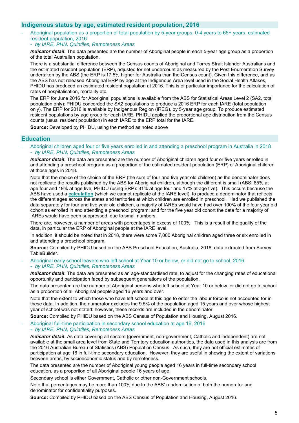### **Indigenous status by age, estimated resident population, 2016**

- ‐ Aboriginal population as a proportion of total population by 5-year groups: 0-4 years to 65+ years, estimated resident population, 2016
	- *by IARE, PHN, Quintiles, Remoteness Areas*

*Indicator detail***:** The data presented are the number of Aboriginal people in each 5-year age group as a proportion of the total Australian population.

There is a substantial difference between the Census counts of Aboriginal and Torres Strait Islander Australians and the estimated resident population (ERP), adjusted for net undercount as measured by the Post Enumeration Survey undertaken by the ABS (the ERP is 17.5% higher for Australia than the Census count). Given this difference, and as the ABS has not released Aboriginal ERP by age at the Indigenous Area level used in the Social Health Atlases, PHIDU has produced an estimated resident population at 2016. This is of particular importance for the calculation of rates of hospitalisation, mortality etc.

The ERP for June 2016 for Aboriginal populations is available from the ABS for Statistical Areas Level 2 (SA2, total population only): PHIDU concorded the SA2 populations to produce a 2016 ERP for each IARE (total population only). The ERP for 2016 is available by Indigenous Region (IREG), by 5-year age group. To produce estimated resident populations by age group for each IARE, PHIDU applied the proportional age distribution from the Census counts (usual resident population) in each IARE to the ERP total for the IARE.

**Source:** Developed by PHIDU, using the method as noted above

### **Education**

‐ Aboriginal children aged four or five years enrolled in and attending a preschool program in Australia in 2018 - *by IARE, PHN, Quintiles, Remoteness Areas* 

*Indicator detail***:** The data are presented are the number of Aboriginal children aged four or five years enrolled in and attending a preschool program as a proportion of the estimated resident population (ERP) of Aboriginal children at those ages in 2018.

Note that the choice of the choice of the ERP (the sum of four and five year old children) as the denominator does not replicate the results published by the ABS for Aboriginal children, although the different is small (ABS: 85% at age four and 19% at age five; PHIDU (using ERP): 81% at age four and 17% at age five). This occurs because the ABS have used a **calculation** (which we cannot replicate at the IARE level), to produce a denominator that reflects the different ages across the states and territories at which children are enrolled in preschool. Had we published the data separately for four and five year old children, a majority of IAREs would have had over 100% of the four year old cohort as enrolled in and attending a preschool program; and for the five year old cohort the data for a majority of IAREs would have been suppressed, due to small numbers.

There are, however, a number of areas with percentages in excess of 100%. This is a result of the quality of the data, in particular the ERP of Aboriginal people at the IARE level.

In addition, it should be noted that in 2018, there were some 7,000 Aboriginal children aged three or six enrolled in and attending a preschool program.

**Source:** Compiled by PHIDU based on the ABS Preschool Education, Australia, 2018; data extracted from Survey TableBuilder.

#### ‐ Aboriginal early school leavers who left school at Year 10 or below, or did not go to school, 2016 - *by IARE, PHN, Quintiles, Remoteness Areas*

*Indicator detail*: The data are presented as an age-standardised rate, to adiust for the changing rates of educational opportunity and participation faced by subsequent generations of the population.

The data presented are the number of Aboriginal persons who left school at Year 10 or below, or did not go to school as a proportion of all Aboriginal people aged 16 years and over.

Note that the extent to which those who have left school at this age to enter the labour force is not accounted for in these data. In addition. the numerator excludes the 9.5% of the population aged 15 years and over whose highest year of school was not stated: however, these records are included in the denominator.

**Source:** Compiled by PHIDU based on the ABS Census of Population and Housing, August 2016.

‐ Aboriginal full-time participation in secondary school education at age 16, 2016 - *by IARE, PHN, Quintiles, Remoteness Areas* 

*Indicator detail***:** As data covering all sectors (government, non-government, Catholic and independent) are not available at the small area level from State and Territory education authorities, the data used in this analysis are from the 2016 Australian Bureau of Statistics (ABS) Population Census. As such, they are not official estimates of participation at age 16 in full-time secondary education. However, they are useful in showing the extent of variations between areas, by socioeconomic status and by remoteness.

The data presented are the number of Aboriginal young people aged 16 years in full-time secondary school education, as a proportion of all Aboriginal people 16 years of age.

Secondary school is either Government, Catholic or other non-Government schools.

Note that percentages may be more than 100% due to the ABS' randomisation of both the numerator and denominator for confidentiality purposes.

**Source:** Compiled by PHIDU based on the ABS Census of Population and Housing, August 2016.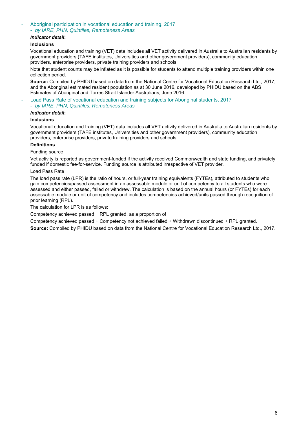#### ‐ Aboriginal participation in vocational education and training, 2017

- *by IARE, PHN, Quintiles, Remoteness Areas* 

#### *Indicator detail***:**

#### **Inclusions**

Vocational education and training (VET) data includes all VET activity delivered in Australia to Australian residents by government providers (TAFE institutes, Universities and other government providers), community education providers, enterprise providers, private training providers and schools.

Note that student counts may be inflated as it is possible for students to attend multiple training providers within one collection period.

**Source:** Compiled by PHIDU based on data from the National Centre for Vocational Education Research Ltd., 2017; and the Aboriginal estimated resident population as at 30 June 2016, developed by PHIDU based on the ABS Estimates of Aboriginal and Torres Strait Islander Australians, June 2016.

‐ Load Pass Rate of vocational education and training subjects for Aboriginal students, 2017 - *by IARE, PHN, Quintiles, Remoteness Areas* 

#### *Indicator detail***:**

#### **Inclusions**

Vocational education and training (VET) data includes all VET activity delivered in Australia to Australian residents by government providers (TAFE institutes, Universities and other government providers), community education providers, enterprise providers, private training providers and schools.

#### **Definitions**

#### Funding source

Vet activity is reported as government-funded if the activity received Commonwealth and state funding, and privately funded if domestic fee-for-service. Funding source is attributed irrespective of VET provider.

#### Load Pass Rate

The load pass rate (LPR) is the ratio of hours, or full-year training equivalents (FYTEs), attributed to students who gain competencies/passed assessment in an assessable module or unit of competency to all students who were assessed and either passed, failed or withdrew. The calculation is based on the annual hours (or FYTEs) for each assessable module or unit of competency and includes competencies achieved/units passed through recognition of prior learning (RPL).

The calculation for LPR is as follows:

Competency achieved passed + RPL granted, as a proportion of

Competency achieved passed + Competency not achieved failed + Withdrawn discontinued + RPL granted. **Source:** Compiled by PHIDU based on data from the National Centre for Vocational Education Research Ltd., 2017.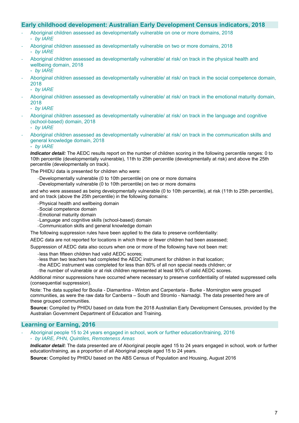### **Early childhood development: Australian Early Development Census indicators, 2018**

- ‐ Aboriginal children assessed as developmentally vulnerable on one or more domains, 2018
	- *by IARE*
- ‐ Aboriginal children assessed as developmentally vulnerable on two or more domains, 2018 - *by IARE*
- ‐ Aboriginal children assessed as developmentally vulnerable/ at risk/ on track in the physical health and wellbeing domain, 2018
	- *by IARE*
- ‐ Aboriginal children assessed as developmentally vulnerable/ at risk/ on track in the social competence domain, 2018
	- *by IARE*
- ‐ Aboriginal children assessed as developmentally vulnerable/ at risk/ on track in the emotional maturity domain, 2018
	- *by IARE*
- ‐ Aboriginal children assessed as developmentally vulnerable/ at risk/ on track in the language and cognitive (school-based) domain, 2018

- *by IARE* 

‐ Aboriginal children assessed as developmentally vulnerable/ at risk/ on track in the communication skills and general knowledge domain, 2018

- *by IARE* 

*Indicator detail:* The AEDC results report on the number of children scoring in the following percentile ranges: 0 to 10th percentile (developmentally vulnerable), 11th to 25th percentile (developmentally at risk) and above the 25th percentile (developmentally on track).

The PHIDU data is presented for children who were:

- ‐ Developmentally vulnerable (0 to 10th percentile) on one or more domains
- ‐ Developmentally vulnerable (0 to 10th percentile) on two or more domains

and who were assessed as being developmentally vulnerable (0 to 10th percentile), at risk (11th to 25th percentile), and on track (above the 25th percentile) in the following domains:

- ‐ Physical health and wellbeing domain
- ‐ Social competence domain
- ‐ Emotional maturity domain
- ‐ Language and cognitive skills (school-based) domain
- ‐ Communication skills and general knowledge domain

The following suppression rules have been applied to the data to preserve confidentiality:

AEDC data are not reported for locations in which three or fewer children had been assessed;

Suppression of AEDC data also occurs when one or more of the following have not been met:

- ‐ less than fifteen children had valid AEDC scores;
- ‐ less than two teachers had completed the AEDC instrument for children in that location;
- ‐ the AEDC instrument was completed for less than 80% of all non special needs children; or
- ‐ the number of vulnerable or at risk children represented at least 90% of valid AEDC scores.

Additional minor suppressions have occurred where necessary to preserve confidentiality of related suppressed cells (consequential suppression).

Note: The data supplied for Boulia - Diamantina - Winton and Carpentaria - Burke - Mornington were grouped communities, as were the raw data for Canberra – South and Stromlo - Namadgi. The data presented here are of these grouped communities.

**Source:** Compiled by PHIDU based on data from the 2018 Australian Early Development Censuses, provided by the Australian Government Department of Education and Training.

### **Learning or Earning, 2016**

‐ Aboriginal people 15 to 24 years engaged in school, work or further education/training, 2016 - *by IARE, PHN, Quintiles, Remoteness Areas* 

*Indicator detail***:** The data presented are of Aboriginal people aged 15 to 24 years engaged in school, work or further education/training, as a proportion of all Aboriginal people aged 15 to 24 years.

**Source:** Compiled by PHIDU based on the ABS Census of Population and Housing, August 2016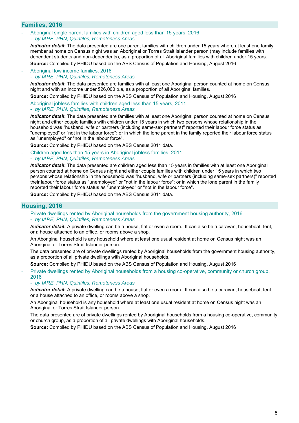### **Families, 2016**

‐ Aboriginal single parent families with children aged less than 15 years, 2016 - *by IARE, PHN, Quintiles, Remoteness Areas* 

*Indicator detail***:** The data presented are one parent families with children under 15 years where at least one family member at home on Census night was an Aboriginal or Torres Strait Islander person (may include families with dependent students and non-dependents), as a proportion of all Aboriginal families with children under 15 years.

**Source:** Compiled by PHIDU based on the ABS Census of Population and Housing, August 2016

‐ Aboriginal low income families, 2016 - *by IARE, PHN, Quintiles, Remoteness Areas* 

*Indicator detail***:** The data presented are families with at least one Aboriginal person counted at home on Census night and with an income under \$26,000 p.a, as a proportion of all Aboriginal families.

- **Source:** Compiled by PHIDU based on the ABS Census of Population and Housing, August 2016
- ‐ Aboriginal jobless families with children aged less than 15 years, 2011 - *by IARE, PHN, Quintiles, Remoteness Areas*

*Indicator detail***:** The data presented are families with at least one Aboriginal person counted at home on Census night and either couple families with children under 15 years in which two persons whose relationship in the household was "husband, wife or partners (including same-sex partners)" reported their labour force status as "unemployed" or "not in the labour force"; or in which the lone parent in the family reported their labour force status as "unemployed" or "not in the labour force".

**Source:** Compiled by PHIDU based on the ABS Census 2011 data.

‐ Children aged less than 15 years in Aboriginal jobless families, 2011 - *by IARE, PHN, Quintiles, Remoteness Areas* 

*Indicator detail***:** The data presented are children aged less than 15 years in families with at least one Aboriginal person counted at home on Census night and either couple families with children under 15 years in which two persons whose relationship in the household was "husband, wife or partners (including same-sex partners)" reported their labour force status as "unemployed" or "not in the labour force"; or in which the lone parent in the family reported their labour force status as "unemployed" or "not in the labour force".

**Source:** Compiled by PHIDU based on the ABS Census 2011 data.

### **Housing, 2016**

‐ Private dwellings rented by Aboriginal households from the government housing authority, 2016 - *by IARE, PHN, Quintiles, Remoteness Areas* 

*Indicator detail***:** A private dwelling can be a house, flat or even a room. It can also be a caravan, houseboat, tent, or a house attached to an office, or rooms above a shop.

An Aboriginal household is any household where at least one usual resident at home on Census night was an Aboriginal or Torres Strait Islander person.

The data presented are of private dwellings rented by Aboriginal households from the government housing authority, as a proportion of all private dwellings with Aboriginal households.

**Source:** Compiled by PHIDU based on the ABS Census of Population and Housing, August 2016

‐ Private dwellings rented by Aboriginal households from a housing co-operative, community or church group, 2016

#### - *by IARE, PHN, Quintiles, Remoteness Areas*

*Indicator detail***:** A private dwelling can be a house, flat or even a room. It can also be a caravan, houseboat, tent, or a house attached to an office, or rooms above a shop.

An Aboriginal household is any household where at least one usual resident at home on Census night was an Aboriginal or Torres Strait Islander person.

The data presented are of private dwellings rented by Aboriginal households from a housing co-operative, community or church group, as a proportion of all private dwellings with Aboriginal households.

**Source:** Compiled by PHIDU based on the ABS Census of Population and Housing, August 2016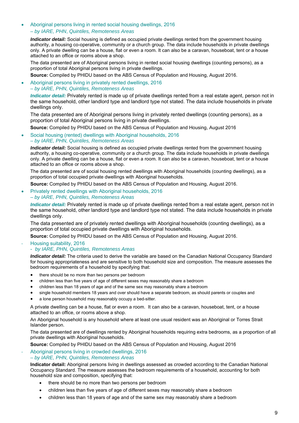### Aboriginal persons living in rented social housing dwellings, 2016 *– by IARE, PHN*, *Quintiles, Remoteness Areas*

*Indicator detail:* Social housing is defined as occupied private dwellings rented from the government housing authority, a housing co-operative, community or a church group. The data include households in private dwellings only. A private dwelling can be a house, flat or even a room. It can also be a caravan, houseboat, tent or a house attached to an office or rooms above a shop.

The data presented are of Aboriginal persons living in rented social housing dwellings (counting persons), as a proportion of total Aboriginal persons living in private dwellings.

**Source:** Compiled by PHIDU based on the ABS Census of Population and Housing, August 2016.

 Aboriginal persons living in privately rented dwellings, 2016 *– by IARE, PHN, Quintiles, Remoteness Areas* 

*Indicator detail:* Privately rented is made up of private dwellings rented from a real estate agent, person not in the same household, other landlord type and landlord type not stated. The data include households in private dwellings only.

The data presented are of Aboriginal persons living in privately rented dwellings (counting persons), as a proportion of total Aboriginal persons living in private dwellings.

**Source:** Compiled by PHIDU based on the ABS Census of Population and Housing, August 2016

#### Social housing (rented) dwellings with Aboriginal households, 2016 *– by IARE, PHN, Quintiles, Remoteness Areas*

*Indicator detail:* Social housing is defined as occupied private dwellings rented from the government housing authority, a housing co-operative, community or a church group. The data include households in private dwellings only. A private dwelling can be a house, flat or even a room. It can also be a caravan, houseboat, tent or a house attached to an office or rooms above a shop.

The data presented are of social housing rented dwellings with Aboriginal households (counting dwellings), as a proportion of total occupied private dwellings with Aboriginal households.

**Source:** Compiled by PHIDU based on the ABS Census of Population and Housing, August 2016.

#### Privately rented dwellings with Aboriginal households, 2016 *– by IARE, PHN, Quintiles, Remoteness Areas*

*Indicator detail:* Privately rented is made up of private dwellings rented from a real estate agent, person not in the same household, other landlord type and landlord type not stated. The data include households in private dwellings only.

The data presented are of privately rented dwellings with Aboriginal households (counting dwellings), as a proportion of total occupied private dwellings with Aboriginal households.

**Source:** Compiled by PHIDU based on the ABS Census of Population and Housing, August 2016.

#### ‐ Housing suitability, 2016

#### - *by IARE, PHN, Quintiles, Remoteness Areas*

*Indicator detail:* The criteria used to derive the variable are based on the Canadian National Occupancy Standard for housing appropriateness and are sensitive to both household size and composition. The measure assesses the bedroom requirements of a household by specifying that:

- there should be no more than two persons per bedroom
- children less than five years of age of different sexes may reasonably share a bedroom
- children less than 18 years of age and of the same sex may reasonably share a bedroom
- single household members 18 years and over should have a separate bedroom, as should parents or couples and
- a lone person household may reasonably occupy a bed-sitter.

A private dwelling can be a house, flat or even a room. It can also be a caravan, houseboat, tent, or a house attached to an office, or rooms above a shop.

An Aboriginal household is any household where at least one usual resident was an Aboriginal or Torres Strait Islander person.

The data presented are of dwellings rented by Aboriginal households requiring extra bedrooms, as a proportion of all private dwellings with Aboriginal households.

**Source:** Compiled by PHIDU based on the ABS Census of Population and Housing, August 2016

#### ‐ Aboriginal persons living in crowded dwellings, 2016 *– by IARE, PHN, Quintiles, Remoteness Areas*

**Indicator detail:** Aboriginal persons living in dwellings assessed as crowded according to the Canadian National Occupancy Standard. The measure assesses the bedroom requirements of a household, accounting for both household size and composition, specifying that:

- there should be no more than two persons per bedroom
- children less than five years of age of different sexes may reasonably share a bedroom
- children less than 18 years of age and of the same sex may reasonably share a bedroom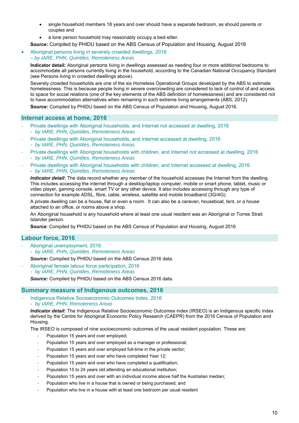- single household members 18 years and over should have a separate bedroom, as should parents or couples and
- a lone person household may reasonably occupy a bed-sitter.

**Source:** Compiled by PHIDU based on the ABS Census of Population and Housing, August 2016

 Aboriginal persons living in severely crowded dwellings, 2016 *– by IARE, PHN, Quintiles, Remoteness Areas*

**Indicator detail:** Aboriginal persons living in dwellings assessed as needing four or more additional bedrooms to accommodate all persons currently living in the household, according to the Canadian National Occupancy Standard (see Persons living in crowded dwellings above).

Severely crowded households are one of the six Homeless Operational Groups developed by the ABS to estimate homelessness. This is because people living in severe overcrowding are considered to lack of control of and access to space for social relations (one of the key elements of the ABS definition of homelessness) and are considered not to have accommodation alternatives when remaining in such extreme living arrangements (ABS, 2012).

**Source:** Compiled by PHIDU based on the ABS Census of Population and Housing, August 2016.

### **Internet access at home, 2016**

- ‐ Private dwellings with Aboriginal households, and Internet not accessed at dwelling, 2016 - *by IARE, PHN, Quintiles, Remoteness Areas*
- ‐ Private dwellings with Aboriginal households, and Internet accessed at dwelling, 2016
- *by IARE, PHN, Quintiles, Remoteness Areas*
- ‐ Private dwellings with Aboriginal households with children, and Internet not accessed at dwelling, 2016 - *by IARE, PHN, Quintiles, Remoteness Areas*
- ‐ Private dwellings with Aboriginal households with children, and Internet accessed at dwelling, 2016 - *by IARE, PHN, Quintiles, Remoteness Areas*

*Indicator detail***:** The data record whether any member of the household accesses the Internet from the dwelling. This includes accessing the internet through a desktop/laptop computer, mobile or smart phone, tablet, music or video player, gaming console, smart TV or any other device. It also includes accessing through any type of connection for example ADSL, fibre, cable, wireless, satellite and mobile broadband (3G/4G).

A private dwelling can be a house, flat or even a room. It can also be a caravan, houseboat, tent, or a house attached to an office, or rooms above a shop.

An Aboriginal household is any household where at least one usual resident was an Aboriginal or Torres Strait Islander person.

**Source**: Compiled by PHIDU based on the ABS Census of Population and Housing, August 2016

### **Labour force, 2016**

‐ Aboriginal unemployment, 2016 - *by IARE, PHN, Quintiles, Remoteness Areas* 

*Source:* Compiled by PHIDU based on the ABS Census 2016 data.

‐ Aboriginal female labour force participation, 2016 - *by IARE, PHN, Quintiles, Remoteness Areas* 

*Source:* Compiled by PHIDU based on the ABS Census 2016 data.

#### **Summary measure of Indigenous outcomes, 2016**

‐ Indigenous Relative Socioeconomic Outcomes Index, 2016 - *by IARE, PHN, Remoteness Areas* 

*Indicator detail***:** The Indigenous Relative Socioeconomic Outcomes index (IRSEO) is an Indigenous specific index derived by the Centre for Aboriginal Economic Policy Research (CAEPR) from the 2016 Census of Population and Housing.

The IRSEO is composed of nine socioeconomic outcomes of the usual resident population. These are:

- ‐ Population 15 years and over employed;
- ‐ Population 15 years and over employed as a manager or professional;
- Population 15 years and over employed full-time in the private sector;
- ‐ Population 15 years and over who have completed Year 12;
- ‐ Population 15 years and over who have completed a qualification;
- ‐ Population 15 to 24 years old attending an educational institution;
- Population 15 years and over with an individual income above half the Australian median;
- ‐ Population who live in a house that is owned or being purchased; and
- Population who live in a house with at least one bedroom per usual resident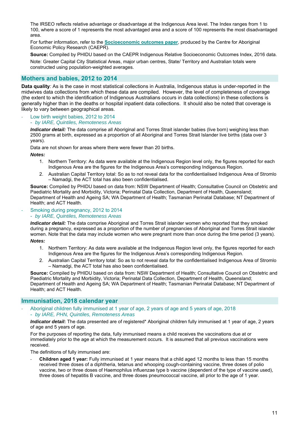The IRSEO reflects relative advantage or disadvantage at the Indigenous Area level. The Index ranges from 1 to 100, where a score of 1 represents the most advantaged area and a score of 100 represents the most disadvantaged area.

For further information, refer to the **Socioeconomic outcomes paper**, produced by the Centre for Aboriginal Economic Policy Research (CAEPR).

**Source:** Compiled by PHIDU based on the CAEPR Indigenous Relative Socioeconomic Outcomes Index, 2016 data. Note: Greater Capital City Statistical Areas, major urban centres, State/ Territory and Australian totals were constructed using population-weighted averages.

### **Mothers and babies, 2012 to 2014**

**Data quality***:* As is the case in most statistical collections in Australia, Indigenous status is under-reported in the midwives data collections from which these data are compiled. However, the level of completeness of coverage (the extent to which the identification of Indigenous Australians occurs in data collections) in these collections is generally higher than in the deaths or hospital inpatient data collections. It should also be noted that coverage is likely to vary between geographical areas.

‐ Low birth weight babies, 2012 to 2014

#### - *by IARE, Quintiles, Remoteness Areas*

*Indicator detail:* The data comprise all Aboriginal and Torres Strait islander babies (live born) weighing less than 2500 grams at birth, expressed as a proportion of all Aboriginal and Torres Strait Islander live births (data over 3 years).

Data are not shown for areas where there were fewer than 20 births.

*Notes:* 

- 1. Northern Territory: As data were available at the Indigenous Region level only, the figures reported for each Indigenous Area are the figures for the Indigenous Area's corresponding Indigenous Region.
- 2. Australian Capital Territory total: So as to not reveal data for the confidentialised Indigenous Area of Stromlo – Namadgi, the ACT total has also been confidentialised.

**Source:** Compiled by PHIDU based on data from: NSW Department of Health; Consultative Council on Obstetric and Paediatric Mortality and Morbidity, Victoria; Perinatal Data Collection, Department of Health, Queensland; Department of Health and Ageing SA; WA Department of Health; Tasmanian Perinatal Database; NT Department of Health; and ACT Health.

#### ‐ Smoking during pregnancy, 2012 to 2014

#### - *by IARE, Quintiles, Remoteness Areas*

*Indicator detail:* The data comprise Aboriginal and Torres Strait islander women who reported that they smoked during a pregnancy, expressed as a proportion of the number of pregnancies of Aboriginal and Torres Strait islander women. Note that the data may include women who were pregnant more than once during the time period (3 years).

#### *Notes:*

- 1. Northern Territory: As data were available at the Indigenous Region level only, the figures reported for each Indigenous Area are the figures for the Indigenous Area's corresponding Indigenous Region.
- 2. Australian Capital Territory total: So as to not reveal data for the confidentialised Indigenous Area of Stromlo – Namadgi, the ACT total has also been confidentialised.

**Source:** Compiled by PHIDU based on data from: NSW Department of Health; Consultative Council on Obstetric and Paediatric Mortality and Morbidity, Victoria; Perinatal Data Collection, Department of Health, Queensland; Department of Health and Ageing SA; WA Department of Health; Tasmanian Perinatal Database; NT Department of Health; and ACT Health.

### **Immunisation, 2018 calendar year**

‐ Aboriginal children fully immunised at 1 year of age, 2 years of age and 5 years of age, 2018 - *by IARE, PHN, Quintiles, Remoteness Areas* 

*Indicator detail***:** The data presented are of registered\* Aboriginal children fully immunised at 1 year of age, 2 years of age and 5 years of age.

For the purposes of reporting the data, fully immunised means a child receives the vaccinations due at or immediately prior to the age at which the measurement occurs. It is assumed that all previous vaccinations were received.

The definitions of fully immunised are:

‐ **Children aged 1 year:** Fully immunised at 1 year means that a child aged 12 months to less than 15 months received three doses of a diphtheria, tetanus and whooping cough-containing vaccine, three doses of polio vaccine, two or three doses of Haemophilus influenzae type b vaccine (dependent of the type of vaccine used), three doses of hepatitis B vaccine, and three doses pneumococcal vaccine, all prior to the age of 1 year.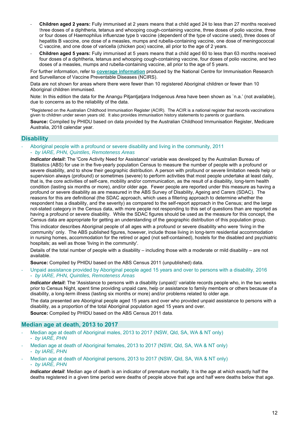- ‐ **Children aged 2 years:** Fully immunised at 2 years means that a child aged 24 to less than 27 months received three doses of a diphtheria, tetanus and whooping cough-containing vaccine, three doses of polio vaccine, three or four doses of Haemophilus influenzae type b vaccine (dependent of the type of vaccine used), three doses of hepatitis B vaccine, one dose of a measles, mumps and rubella-containing vaccine, one dose of meningococcal C vaccine, and one dose of varicella (chicken pox) vaccine, all prior to the age of 2 years.
- ‐ **Children aged 5 years:** Fully immunised at 5 years means that a child aged 60 to less than 63 months received four doses of a diphtheria, tetanus and whooping cough-containing vaccine, four doses of polio vaccine, and two doses of a measles, mumps and rubella-containing vaccine, all prior to the age of 5 years.

For further information, refer to **coverage information** produced by the National Centre for Immunisation Research and Surveillance of Vaccine Preventable Diseases (NCIRS).

Data are not shown for areas where there were fewer than 10 registered Aboriginal children or fewer than 10 Aboriginal children immunised.

Note: In this edition the data for the Anangu Pitjantjatjara Indigenous Area have been shown as `n.a.' (not available), due to concerns as to the reliability of the data.

\*Registered on the Australian Childhood Immunisation Register (ACIR). The ACIR is a national register that records vaccinations given to children under seven years old. It also provides immunisation history statements to parents or guardians.

**Source:** Compiled by PHIDU based on data provided by the Australian Childhood Immunisation Register, Medicare Australia, 2018 calendar year.

#### **Disability**

‐ Aboriginal people with a profound or severe disability and living in the community, 2011 - *by IARE, PHN, Quintiles, Remoteness Areas* 

*Indicator detail***:** The 'Core Activity Need for Assistance' variable was developed by the Australian Bureau of Statistics (ABS) for use in the five-yearly population Census to measure the number of people with a profound or severe disability, and to show their geographic distribution. A person with profound or severe limitation needs help or supervision always (profound) or sometimes (severe) to perform activities that most people undertake at least daily, that is, the core activities of self-care, mobility and/or communication, as the result of a disability, long-term health condition (lasting six months or more), and/or older age. Fewer people are reported under this measure as having a profound or severe disability as are measured in the ABS Survey of Disability, Ageing and Carers (SDAC). The reasons for this are definitional (the SDAC approach, which uses a filtering approach to determine whether the respondent has a disability, and the severity) as compared to the self-report approach in the Census; and the large not-stated category in the Census data, with more people not responding to this set of questions than are reported as having a profound or severe disability. While the SDAC figures should be used as the measure for this concept, the Census data are appropriate for getting an understanding of the geographic distribution of this population group.

This indicator describes Aboriginal people of all ages with a profound or severe disability who were 'living in the community' only. The ABS published figures, however, include those living in long-term residential accommodation in nursing homes, accommodation for the retired or aged (not self-contained), hostels for the disabled and psychiatric hospitals; as well as those 'living in the community'.

Details of the total number of people with a disability – including those with a moderate or mild disability – are not available.

**Source:** Compiled by PHIDU based on the ABS Census 2011 (unpublished) data.

‐ Unpaid assistance provided by Aboriginal people aged 15 years and over to persons with a disability, 2016 - *by IARE, PHN, Quintiles, Remoteness Areas* 

*Indicator detail***:** The 'Assistance to persons with a disability (unpaid)' variable records people who, in the two weeks prior to Census Night, spent time providing unpaid care, help or assistance to family members or others because of a disability, a long-term illness (lasting six months or more) and/or problems related to older age.

The data presented are Aboriginal people aged 15 years and over who provided unpaid assistance to persons with a disability, as a proportion of the total Aboriginal population aged 15 years and over.

**Source:** Compiled by PHIDU based on the ABS Census 2011 data.

#### **Median age at death, 2013 to 2017**

- Median age at death of Aboriginal males, 2013 to 2017 (NSW, Qld, SA, WA & NT only) - *by IARE, PHN*
- Median age at death of Aboriginal females, 2013 to 2017 (NSW, Qld, SA, WA & NT only) - *by IARE, PHN*
- Median age at death of Aboriginal persons, 2013 to 2017 (NSW, Qld, SA, WA & NT only)

- *by IARE, PHN* 

*Indicator detail*: Median age of death is an indicator of premature mortality. It is the age at which exactly half the deaths registered in a given time period were deaths of people above that age and half were deaths below that age.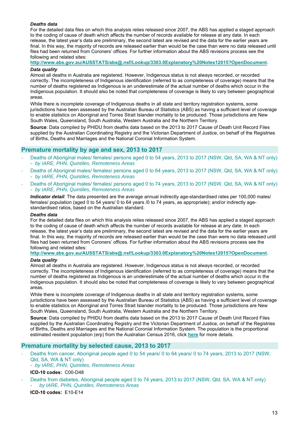#### *Deaths data*

For the detailed data files on which this analysis relies released since 2007, the ABS has applied a staged approach to the coding of cause of death which affects the number of records available for release at any date. In each release, the latest year's data are preliminary, the second latest are revised and the data for the earlier years are final. In this way, the majority of records are released earlier than would be the case than were no data released until files had been returned from Coroners' offices. For further information about the ABS revisions process see the following and related sites:

**http://www.abs.gov.au/AUSSTATS/abs@.nsf/Lookup/3303.0Explanatory%20Notes12015?OpenDocument**. *Data quality* 

Almost all deaths in Australia are registered. However, Indigenous status is not always recorded, or recorded correctly. The incompleteness of Indigenous identification (referred to as completeness of coverage) means that the number of deaths registered as Indigenous is an underestimate of the actual number of deaths which occur in the Indigenous population. It should also be noted that completeness of coverage is likely to vary between geographical areas.

While there is incomplete coverage of Indigenous deaths in all state and territory registration systems, some jurisdictions have been assessed by the Australian Bureau of Statistics (ABS) as having a sufficient level of coverage to enable statistics on Aboriginal and Torres Strait Islander mortality to be produced. Those jurisdictions are New South Wales, Queensland, South Australia, Western Australia and the Northern Territory.

**Source**: Data compiled by PHIDU from deaths data based on the 2013 to 2017 Cause of Death Unit Record Files supplied by the Australian Coordinating Registry and the Victorian Department of Justice, on behalf of the Registries of Births, Deaths and Marriages and the National Coronial Information System.

### **Premature mortality by age and sex, 2013 to 2017**

- ‐ Deaths of Aboriginal males/ females/ persons aged 0 to 54 years, 2013 to 2017 (NSW, Qld, SA, WA & NT only) - *by IARE, PHN, Quintiles, Remoteness Areas*
- ‐ Deaths of Aboriginal males/ females/ persons aged 0 to 64 years, 2013 to 2017 (NSW, Qld, SA, WA & NT only) - *by IARE, PHN, Quintiles, Remoteness Areas*
- ‐ Deaths of Aboriginal males/ females/ persons aged 0 to 74 years, 2013 to 2017 (NSW, Qld, SA, WA & NT only) - *by IARE, PHN, Quintiles, Remoteness Areas*

*Indicator detail*: The data presented are the average annual indirectly age-standardised rates per 100,000 males/ females/ population (aged 0 to 54 years/ 0 to 64 years /0 to 74 years, as appropriate); and/or indirectly agestandardised ratios, based on the Australian standard.

#### *Deaths data*

For the detailed data files on which this analysis relies released since 2007, the ABS has applied a staged approach to the coding of cause of death which affects the number of records available for release at any date. In each release, the latest year's data are preliminary, the second latest are revised and the data for the earlier years are final. In this way, the majority of records are released earlier than would be the case than were no data released until files had been returned from Coroners' offices. For further information about the ABS revisions process see the following and related sites:

**http://www.abs.gov.au/AUSSTATS/abs@.nsf/Lookup/3303.0Explanatory%20Notes12015?OpenDocument**.

#### *Data quality*

Almost all deaths in Australia are registered. However, Indigenous status is not always recorded, or recorded correctly. The incompleteness of Indigenous identification (referred to as completeness of coverage) means that the number of deaths registered as Indigenous is an underestimate of the actual number of deaths which occur in the Indigenous population. It should also be noted that completeness of coverage is likely to vary between geographical areas.

While there is incomplete coverage of Indigenous deaths in all state and territory registration systems, some jurisdictions have been assessed by the Australian Bureau of Statistics (ABS) as having a sufficient level of coverage to enable statistics on Aboriginal and Torres Strait Islander mortality to be produced. Those jurisdictions are New South Wales, Queensland, South Australia, Western Australia and the Northern Territory.

**Source**: Data compiled by PHIDU from deaths data based on the 2013 to 2017 Cause of Death Unit Record Files supplied by the Australian Coordinating Registry and the Victorian Department of Justice, on behalf of the Registries of Births, Deaths and Marriages and the National Coronial Information System. The population is the proportional estimated resident population (erp) from the Australian Census 2016, click **here** for more details.

#### **Premature mortality by selected cause, 2013 to 2017**

- Deaths from cancer, Aboriginal people aged 0 to 54 years/ 0 to 64 years/ 0 to 74 years, 2013 to 2017 (NSW, Qld, SA, WA & NT only)
	- *by IARE, PHN, Quintiles, Remoteness Areas*

#### **ICD-10 codes:** C00-D48

‐ Deaths from diabetes, Aboriginal people aged 0 to 74 years, 2013 to 2017 (NSW, Qld, SA, WA & NT only) - *by IARE, PHN, Quintiles, Remoteness Areas* 

**ICD-10 codes:** E10-E14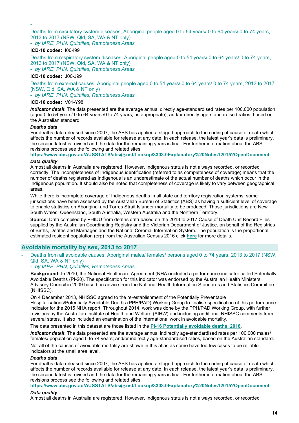#### Deaths from circulatory system diseases, Aboriginal people aged 0 to 54 years/ 0 to 64 years/ 0 to 74 years, 2013 to 2017 (NSW, Qld, SA, WA & NT only) - *by IARE, PHN, Quintiles, Remoteness Areas*

#### **ICD-10 codes:** I00-I99

-

Deaths from respiratory system diseases, Aboriginal people aged 0 to 54 years/ 0 to 64 years/ 0 to 74 years, 2013 to 2017 (NSW, Qld, SA, WA & NT only) - *by IARE, PHN, Quintiles, Remoteness Areas* 

**ICD-10 codes:** J00-J99

‐ Deaths from external causes, Aboriginal people aged 0 to 54 years/ 0 to 64 years/ 0 to 74 years, 2013 to 2017 (NSW, Qld, SA, WA & NT only)

- *by IARE, PHN, Quintiles, Remoteness Areas* 

#### **ICD-10 codes:** V01-Y98

*Indicator detail*: The data presented are the average annual directly age-standardised rates per 100,000 population (aged 0 to 54 years/ 0 to 64 years /0 to 74 years, as appropriate); and/or directly age-standardised ratios, based on the Australian standard.

#### *Deaths data*

For deaths data released since 2007, the ABS has applied a staged approach to the coding of cause of death which affects the number of records available for release at any date. In each release, the latest year's data is preliminary, the second latest is revised and the data for the remaining years is final. For further information about the ABS revisions process see the following and related sites:

**https://www.abs.gov.au/AUSSTATS/abs@.nsf/Lookup/3303.0Explanatory%20Notes12015?OpenDocument**.

#### *Data quality*

Almost all deaths in Australia are registered. However, Indigenous status is not always recorded, or recorded correctly. The incompleteness of Indigenous identification (referred to as completeness of coverage) means that the number of deaths registered as Indigenous is an underestimate of the actual number of deaths which occur in the Indigenous population. It should also be noted that completeness of coverage is likely to vary between geographical areas.

While there is incomplete coverage of Indigenous deaths in all state and territory registration systems, some jurisdictions have been assessed by the Australian Bureau of Statistics (ABS) as having a sufficient level of coverage to enable statistics on Aboriginal and Torres Strait Islander mortality to be produced. Those jurisdictions are New South Wales, Queensland, South Australia, Western Australia and the Northern Territory.

**Source**: Data compiled by PHIDU from deaths data based on the 2013 to 2017 Cause of Death Unit Record Files supplied by the Australian Coordinating Registry and the Victorian Department of Justice, on behalf of the Registries of Births, Deaths and Marriages and the National Coronial Information System. The population is the proportional estimated resident population (erp) from the Australian Census 2016 click **here** for more details.

### **Avoidable mortality by sex, 2013 to 2017**

‐ Deaths from all avoidable causes, Aboriginal males/ females/ persons aged 0 to 74 years, 2013 to 2017 (NSW, Qld, SA, WA & NT only)

#### - *by IARE, PHN, Quintiles, Remoteness Areas*

**Background:** In 2010, the National Healthcare Agreement (NHA) included a performance indicator called Potentially Avoidable Deaths (PI-20). The specification for this indicator was endorsed by the Australian Health Ministers' Advisory Council in 2009 based on advice from the National Health Information Standards and Statistics Committee (NHISSC).

On 4 December 2013, NHISSC agreed to the re-establishment of the Potentially Preventable Hospitalisations/Potentially Avoidable Deaths (PPH/PAD) Working Group to finalise specification of this performance indicator for the 2015 NHA report. Throughout 2014, work was done by the PPH/PAD Working Group, with further revisions by the Australian Institute of Health and Welfare (AIHW) and including additional NHISSC comments from several states. It also included an examination of the international work in avoidable mortality.

The data presented in this dataset are those listed in the **PI-16 Potentially avoidable deaths, 2018**.

*Indicator detail:* The data presented are the average annual indirectly age-standardised rates per 100,000 males/ females/ population aged 0 to 74 years; and/or indirectly age-standardised ratios, based on the Australian standard.

Not all of the causes of avoidable mortality are shown in this atlas as some have too few cases to be reliable indicators at the small area level.

#### *Deaths data*

For deaths data released since 2007, the ABS has applied a staged approach to the coding of cause of death which affects the number of records available for release at any date. In each release, the latest year's data is preliminary, the second latest is revised and the data for the remaining years is final. For further information about the ABS revisions process see the following and related sites:

**https://www.abs.gov.au/AUSSTATS/abs@.nsf/Lookup/3303.0Explanatory%20Notes12015?OpenDocument**.

#### *Data quality*

Almost all deaths in Australia are registered. However, Indigenous status is not always recorded, or recorded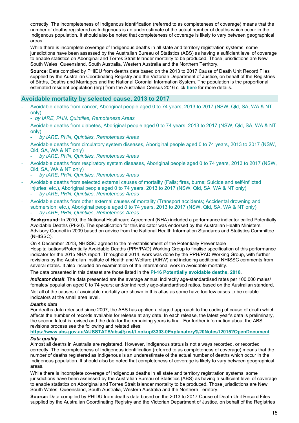correctly. The incompleteness of Indigenous identification (referred to as completeness of coverage) means that the number of deaths registered as Indigenous is an underestimate of the actual number of deaths which occur in the Indigenous population. It should also be noted that completeness of coverage is likely to vary between geographical areas.

While there is incomplete coverage of Indigenous deaths in all state and territory registration systems, some jurisdictions have been assessed by the Australian Bureau of Statistics (ABS) as having a sufficient level of coverage to enable statistics on Aboriginal and Torres Strait Islander mortality to be produced. Those jurisdictions are New South Wales, Queensland, South Australia, Western Australia and the Northern Territory.

**Source**: Data compiled by PHIDU from deaths data based on the 2013 to 2017 Cause of Death Unit Record Files supplied by the Australian Coordinating Registry and the Victorian Department of Justice, on behalf of the Registries of Births, Deaths and Marriages and the National Coronial Information System. The population is the proportional estimated resident population (erp) from the Australian Census 2016 click **here** for more details.

### **Avoidable mortality by selected cause, 2013 to 2017**

- ‐ Avoidable deaths from cancer, Aboriginal people aged 0 to 74 years, 2013 to 2017 (NSW, Qld, SA, WA & NT only)
	- *by IARE, PHN, Quintiles, Remoteness Areas*
- ‐ Avoidable deaths from diabetes, Aboriginal people aged 0 to 74 years, 2013 to 2017 (NSW, Qld, SA, WA & NT only)
	- *by IARE, PHN, Quintiles, Remoteness Areas*
- ‐ Avoidable deaths from circulatory system diseases, Aboriginal people aged 0 to 74 years, 2013 to 2017 (NSW, Qld, SA, WA & NT only)
	- *by IARE, PHN, Quintiles, Remoteness Areas*
- ‐ Avoidable deaths from respiratory system diseases, Aboriginal people aged 0 to 74 years, 2013 to 2017 (NSW, Qld, SA, WA & NT only)
	- *by IARE, PHN, Quintiles, Remoteness Areas*
- ‐ Avoidable deaths from selected external causes of mortality (Falls; fires, burns; Suicide and self-inflicted injuries; etc.), Aboriginal people aged 0 to 74 years, 2013 to 2017 (NSW, Qld, SA, WA & NT only) - *by IARE, PHN, Quintiles, Remoteness Areas*
- ‐ Avoidable deaths from other external causes of mortality (Transport accidents; Accidental drowning and submersion; etc.), Aboriginal people aged 0 to 74 years, 2013 to 2017 (NSW, Qld, SA, WA & NT only) - *by IARE, PHN, Quintiles, Remoteness Areas*

**Background:** In 2010, the National Healthcare Agreement (NHA) included a performance indicator called Potentially Avoidable Deaths (PI-20). The specification for this indicator was endorsed by the Australian Health Ministers' Advisory Council in 2009 based on advice from the National Health Information Standards and Statistics Committee (NHISSC).

On 4 December 2013, NHISSC agreed to the re-establishment of the Potentially Preventable Hospitalisations/Potentially Avoidable Deaths (PPH/PAD) Working Group to finalise specification of this performance indicator for the 2015 NHA report. Throughout 2014, work was done by the PPH/PAD Working Group, with further revisions by the Australian Institute of Health and Welfare (AIHW) and including additional NHISSC comments from several states. It also included an examination of the international work in avoidable mortality.

The data presented in this dataset are those listed in the **PI-16 Potentially avoidable deaths, 2018**.

*Indicator detail*: The data presented are the average annual indirectly age-standardised rates per 100,000 males/ females/ population aged 0 to 74 years; and/or indirectly age-standardised ratios, based on the Australian standard.

Not all of the causes of avoidable mortality are shown in this atlas as some have too few cases to be reliable indicators at the small area level.

#### *Deaths data*

For deaths data released since 2007, the ABS has applied a staged approach to the coding of cause of death which affects the number of records available for release at any date. In each release, the latest year's data is preliminary, the second latest is revised and the data for the remaining years is final. For further information about the ABS revisions process see the following and related sites:

**https://www.abs.gov.au/AUSSTATS/abs@.nsf/Lookup/3303.0Explanatory%20Notes12015?OpenDocument**.

#### *Data quality*

Almost all deaths in Australia are registered. However, Indigenous status is not always recorded, or recorded correctly. The incompleteness of Indigenous identification (referred to as completeness of coverage) means that the number of deaths registered as Indigenous is an underestimate of the actual number of deaths which occur in the Indigenous population. It should also be noted that completeness of coverage is likely to vary between geographical areas.

While there is incomplete coverage of Indigenous deaths in all state and territory registration systems, some jurisdictions have been assessed by the Australian Bureau of Statistics (ABS) as having a sufficient level of coverage to enable statistics on Aboriginal and Torres Strait Islander mortality to be produced. Those jurisdictions are New South Wales, Queensland, South Australia, Western Australia and the Northern Territory.

**Source:** Data compiled by PHIDU from deaths data based on the 2013 to 2017 Cause of Death Unit Record Files supplied by the Australian Coordinating Registry and the Victorian Department of Justice, on behalf of the Registries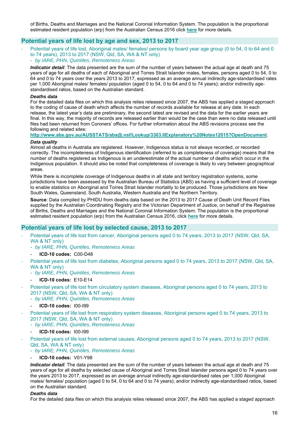of Births, Deaths and Marriages and the National Coronial Information System. The population is the proportional estimated resident population (erp) from the Australian Census 2016 click **here** for more details.

### **Potential years of life lost by age and sex, 2013 to 2017**

Potential years of life lost, Aboriginal males/ females/ persons by board year age group (0 to 54, 0 to 64 and 0 to 74 years), 2013 to 2017 (NSW, Qld, SA, WA & NT only) - *by IARE, PHN, Quintiles, Remoteness Areas* 

*Indicator detail*: The data presented are the sum of the number of years between the actual age at death and 75 years of age for all deaths of each of Aboriginal and Torres Strait Islander males, females, persons aged 0 to 54, 0 to 64 and 0 to 74 years over the years 2013 to 2017, expressed as an average annual indirectly age-standardised rates per 1,000 Aboriginal males/ females/ population (aged 0 to 54, 0 to 64 and 0 to 74 years); and/or indirectly agestandardised ratios, based on the Australian standard.

#### *Deaths data*

For the detailed data files on which this analysis relies released since 2007, the ABS has applied a staged approach to the coding of cause of death which affects the number of records available for release at any date. In each release, the latest year's data are preliminary, the second latest are revised and the data for the earlier years are final. In this way, the majority of records are released earlier than would be the case than were no data released until files had been returned from Coroners' offices. For further information about the ABS revisions process see the following and related sites:

**http://www.abs.gov.au/AUSSTATS/abs@.nsf/Lookup/3303.0Explanatory%20Notes12015?OpenDocument**.

#### *Data quality*

Almost all deaths in Australia are registered. However, Indigenous status is not always recorded, or recorded correctly. The incompleteness of Indigenous identification (referred to as completeness of coverage) means that the number of deaths registered as Indigenous is an underestimate of the actual number of deaths which occur in the Indigenous population. It should also be noted that completeness of coverage is likely to vary between geographical areas.

While there is incomplete coverage of Indigenous deaths in all state and territory registration systems, some jurisdictions have been assessed by the Australian Bureau of Statistics (ABS) as having a sufficient level of coverage to enable statistics on Aboriginal and Torres Strait Islander mortality to be produced. Those jurisdictions are New South Wales, Queensland, South Australia, Western Australia and the Northern Territory.

**Source**: Data compiled by PHIDU from deaths data based on the 2013 to 2017 Cause of Death Unit Record Files supplied by the Australian Coordinating Registry and the Victorian Department of Justice, on behalf of the Registries of Births, Deaths and Marriages and the National Coronial Information System. The population is the proportional estimated resident population (erp) from the Australian Census 2016, click **here** for more details.

### **Potential years of life lost by selected cause, 2013 to 2017**

- Potential years of life lost from cancer, Aboriginal persons aged 0 to 74 years, 2013 to 2017 (NSW, Qld, SA, WA & NT only)
	- *by IARE, PHN, Quintiles, Remoteness Areas*
	- **ICD-10 codes:** C00-D48
	- Potential years of life lost from diabetes, Aboriginal persons aged 0 to 74 years, 2013 to 2017 (NSW, Qld, SA, WA & NT only)
		- *by IARE, PHN, Quintiles, Remoteness Areas*
		- **ICD-10 codes:** E10-E14
- Potential years of life lost from circulatory system diseases, Aboriginal persons aged 0 to 74 years, 2013 to 2017 (NSW, Qld, SA, WA & NT only)
	- *by IARE, PHN, Quintiles, Remoteness Areas*
	- **ICD-10 codes:** I00-I99
- Potential years of life lost from respiratory system diseases, Aboriginal persons aged 0 to 74 years, 2013 to 2017 (NSW, Qld, SA, WA & NT only)
	- *by IARE, PHN, Quintiles, Remoteness Areas*
	- **ICD-10 codes:** I00-I99
- Potential years of life lost from external causes, Aboriginal persons aged 0 to 74 years, 2013 to 2017 (NSW, Qld, SA, WA & NT only)
	- *by IARE, PHN, Quintiles, Remoteness Areas*
	- **ICD-10 codes:** V01-Y98

*Indicator detail*: The data presented are the sum of the number of years between the actual age at death and 75 years of age for all deaths by selected cause of Aboriginal and Torres Strait Islander persons aged 0 to 74 years over the years 2013 to 2017, expressed as an average annual indirectly age-standardised rates per 1,000 Aboriginal males/ females/ population (aged 0 to 54, 0 to 64 and 0 to 74 years); and/or indirectly age-standardised ratios, based on the Australian standard.

#### *Deaths data*

For the detailed data files on which this analysis relies released since 2007, the ABS has applied a staged approach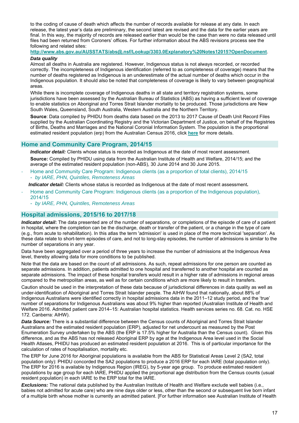to the coding of cause of death which affects the number of records available for release at any date. In each release, the latest year's data are preliminary, the second latest are revised and the data for the earlier years are final. In this way, the majority of records are released earlier than would be the case than were no data released until files had been returned from Coroners' offices. For further information about the ABS revisions process see the following and related sites:

# **http://www.abs.gov.au/AUSSTATS/abs@.nsf/Lookup/3303.0Explanatory%20Notes12015?OpenDocument**.

#### *Data quality*

Almost all deaths in Australia are registered. However, Indigenous status is not always recorded, or recorded correctly. The incompleteness of Indigenous identification (referred to as completeness of coverage) means that the number of deaths registered as Indigenous is an underestimate of the actual number of deaths which occur in the Indigenous population. It should also be noted that completeness of coverage is likely to vary between geographical areas.

While there is incomplete coverage of Indigenous deaths in all state and territory registration systems, some jurisdictions have been assessed by the Australian Bureau of Statistics (ABS) as having a sufficient level of coverage to enable statistics on Aboriginal and Torres Strait Islander mortality to be produced. Those jurisdictions are New South Wales, Queensland, South Australia, Western Australia and the Northern Territory.

**Source**: Data compiled by PHIDU from deaths data based on the 2013 to 2017 Cause of Death Unit Record Files supplied by the Australian Coordinating Registry and the Victorian Department of Justice, on behalf of the Registries of Births, Deaths and Marriages and the National Coronial Information System. The population is the proportional estimated resident population (erp) from the Australian Census 2016, click **here** for more details.

### **Home and Community Care Program, 2014/15**

*Indicator detail:* Clients whose status is recorded as Indigenous at the date of most recent assessment. **Source:** Compiled by PHIDU using data from the Australian Institute of Health and Welfare, 2014/15; and the average of the estimated resident population (non-ABS), 30 June 2014 and 30 June 2015.

‐ Home and Community Care Program: Indigenous clients (as a proportion of total clients), 2014/15 - *by IARE, PHN, Quintiles, Remoteness Areas* 

*Indicator detail:* Clients whose status is recorded as Indigenous at the date of most recent assessment*.* 

- ‐ Home and Community Care Program: Indigenous clients (as a proportion of the Indigenous population), 2014/15
	- *by IARE, PHN, Quintiles, Remoteness Areas*

### **Hospital admissions, 2015/16 to 2017/18**

*Indicator detail***:** The data presented are of the number of separations, or completions of the episode of care of a patient in hospital, where the completion can be the discharge, death or transfer of the patient, or a change in the type of care (e.g., from acute to rehabilitation). In this atlas the term 'admission' is used in place of the more technical 'separation'. As these data relate to short-term episodes of care, and not to long-stay episodes, the number of admissions is similar to the number of separations in any year.

Data have been aggregated over a period of three years to increase the number of admissions at the Indigenous Area level, thereby allowing data for more conditions to be published.

Note that the data are based on the count of all admissions. As such, repeat admissions for one person are counted as separate admissions. In addition, patients admitted to one hospital and transferred to another hospital are counted as separate admissions. The impact of these hospital transfers would result in a higher rate of admissions in regional areas compared to the metropolitan areas, as well as for certain conditions which are more likely to result in transfers.

Caution should be used in the interpretation of these data because of jurisdictional differences in data quality as well as under-identification of Aboriginal and Torres Strait Islander people. The AIHW found that nationally, about 88% of Indigenous Australians were identified correctly in hospital admissions data in the 2011–12 study period, and the 'true' number of separations for Indigenous Australians was about 9% higher than reported (Australian Institute of Health and Welfare 2016. Admitted patient care 2014–15: Australian hospital statistics. Health services series no. 68. Cat. no. HSE 172. Canberra: AIHW).

*Data Source:* There is a substantial difference between the Census counts of Aboriginal and Torres Strait Islander Australians and the estimated resident population (ERP), adjusted for net undercount as measured by the Post Enumeration Survey undertaken by the ABS (the ERP is 17.5% higher for Australia than the Census count). Given this difference, and as the ABS has not released Aboriginal ERP by age at the Indigenous Area level used in the Social Health Atlases, PHIDU has produced an estimated resident population at 2016. This is of particular importance for the calculation of rates of hospitalisation, mortality etc.

The ERP for June 2016 for Aboriginal populations is available from the ABS for Statistical Areas Level 2 (SA2, total population only): PHIDU concorded the SA2 populations to produce a 2016 ERP for each IARE (total population only). The ERP for 2016 is available by Indigenous Region (IREG), by 5-year age group. To produce estimated resident populations by age group for each IARE, PHIDU applied the proportional age distribution from the Census counts (usual resident population) in each IARE to the ERP total for the IARE.

*Exclusions:* The national data published by the Australian Institute of Health and Welfare exclude well babies (i.e., babies not admitted for acute care) who are nine days older or less, other than the second or subsequent live born infant of a multiple birth whose mother is currently an admitted patient. [For further information see Australian Institute of Health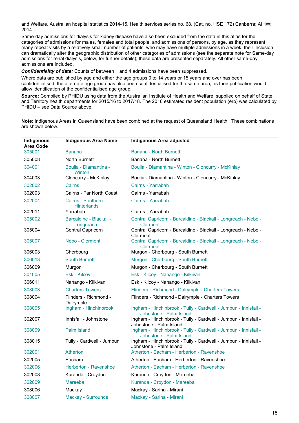and Welfare. Australian hospital statistics 2014-15. Health services series no. 68. (Cat. no. HSE 172) Canberra: AIHW; 2014.].

Same-day admissions for dialysis for kidney disease have also been excluded from the data in this atlas for the categories of admissions for males, females and total people, and admissions of persons, by age, as they represent many repeat visits by a relatively small number of patients, who may have multiple admissions in a week: their inclusion can dramatically alter the geographic distribution of other categories of admissions (see the separate note for Same-day admissions for renal dialysis, below, for further details); these data are presented separately. All other same-day admissions are included.

*Confidentiality of data:* Counts of between 1 and 4 admissions have been suppressed.

Where data are published by age and either the age groups 0 to 14 years or 15 years and over has been confidentialised, the alternate age group has also been confidentialised for the same area, as their publication would allow identification of the confidentialised age group.

**Source:** Compiled by PHIDU using data from the Australian Institute of Health and Welfare, supplied on behalf of State and Territory health departments for 2015/16 to 2017/18. The 2016 estimated resident population (erp) was calculated by PHIDU – see Data Source above.

**Note**: Indigenous Areas in Queensland have been combined at the request of Queensland Health. These combinations are shown below.

| Indigenous<br><b>Area Code</b> | <b>Indigenous Area Name</b>                    | <b>Indigenous Area adjusted</b>                                                            |
|--------------------------------|------------------------------------------------|--------------------------------------------------------------------------------------------|
| 305001                         | <b>Banana</b>                                  | <b>Banana - North Burnett</b>                                                              |
| 305008                         | North Burnett                                  | Banana - North Burnett                                                                     |
| 304001                         | Boulia - Diamantina -<br>Winton                | Boulia - Diamantina - Winton - Cloncurry - McKinlay                                        |
| 304003                         | Cloncurry - McKinlay                           | Boulia - Diamantina - Winton - Cloncurry - McKinlay                                        |
| 302002                         | Cairns                                         | Cairns - Yarrabah                                                                          |
| 302003                         | Cairns - Far North Coast                       | Cairns - Yarrabah                                                                          |
| 302004                         | <b>Cairns - Southern</b><br><b>Hinterlands</b> | Cairns - Yarrabah                                                                          |
| 302011                         | Yarrabah                                       | Cairns - Yarrabah                                                                          |
| 305002                         | <b>Barcaldine - Blackall -</b><br>Longreach    | Central Capricorn - Barcaldine - Blackall - Longreach - Nebo -<br><b>Clermont</b>          |
| 305004                         | Central Capricorn                              | Central Capricorn - Barcaldine - Blackall - Longreach - Nebo -<br>Clermont                 |
| 305007                         | Nebo - Clermont                                | Central Capricorn - Barcaldine - Blackall - Longreach - Nebo -<br><b>Clermont</b>          |
| 306003                         | Cherbourg                                      | Murgon - Cherbourg - South Burnett                                                         |
| 306013                         | <b>South Burnett</b>                           | Murgon - Cherbourg - South Burnett                                                         |
| 306009                         | Murgon                                         | Murgon - Cherbourg - South Burnett                                                         |
| 301005                         | Esk - Kilcoy                                   | Esk - Kilcoy - Nanango - Kilkivan                                                          |
| 306011                         | Nanango - Kilkivan                             | Esk - Kilcoy - Nanango - Kilkivan                                                          |
| 308003                         | <b>Charters Towers</b>                         | Flinders - Richmond - Dalrymple - Charters Towers                                          |
| 308004                         | Flinders - Richmond -<br>Dalrymple             | Flinders - Richmond - Dalrymple - Charters Towers                                          |
| 308005                         | Ingham - Hinchinbrook                          | Ingham - Hinchinbrook - Tully - Cardwell - Jumbun - Innisfail -<br>Johnstone - Palm Island |
| 302007                         | Innisfail - Johnstone                          | Ingham - Hinchinbrook - Tully - Cardwell - Jumbun - Innisfail -<br>Johnstone - Palm Island |
| 308009                         | <b>Palm Island</b>                             | Ingham - Hinchinbrook - Tully - Cardwell - Jumbun - Innisfail -<br>Johnstone - Palm Island |
| 308015                         | Tully - Cardwell - Jumbun                      | Ingham - Hinchinbrook - Tully - Cardwell - Jumbun - Innisfail -<br>Johnstone - Palm Island |
| 302001                         | <b>Atherton</b>                                | Atherton - Eacham - Herberton - Ravenshoe                                                  |
| 302005                         | Eacham                                         | Atherton - Eacham - Herberton - Ravenshoe                                                  |
| 302006                         | <b>Herberton - Ravenshoe</b>                   | Atherton - Eacham - Herberton - Ravenshoe                                                  |
| 302008                         | Kuranda - Croydon                              | Kuranda - Croydon - Mareeba                                                                |
| 302009                         | <b>Mareeba</b>                                 | Kuranda - Croydon - Mareeba                                                                |
| 308006                         | Mackay                                         | Mackay - Sarina - Mirani                                                                   |
| 308007                         | <b>Mackay - Surrounds</b>                      | Mackay - Sarina - Mirani                                                                   |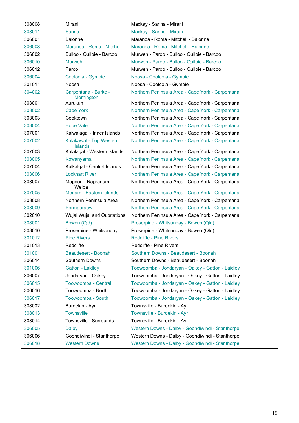| 308008 | Mirani                                    | Mackay - Sarina - Mirani                          |
|--------|-------------------------------------------|---------------------------------------------------|
| 308011 | <b>Sarina</b>                             | Mackay - Sarina - Mirani                          |
| 306001 | <b>Balonne</b>                            | Maranoa - Roma - Mitchell - Balonne               |
| 306008 | Maranoa - Roma - Mitchell                 | Maranoa - Roma - Mitchell - Balonne               |
| 306002 | Bulloo - Quilpie - Barcoo                 | Murweh - Paroo - Bulloo - Quilpie - Barcoo        |
| 306010 | <b>Murweh</b>                             | Murweh - Paroo - Bulloo - Quilpie - Barcoo        |
| 306012 | Paroo                                     | Murweh - Paroo - Bulloo - Quilpie - Barcoo        |
| 306004 | Cooloola - Gympie                         | Noosa - Cooloola - Gympie                         |
| 301011 | Noosa                                     | Noosa - Cooloola - Gympie                         |
| 304002 | Carpentaria - Burke -<br>Mornington       | Northern Peninsula Area - Cape York - Carpentaria |
| 303001 | Aurukun                                   | Northern Peninsula Area - Cape York - Carpentaria |
| 303002 | <b>Cape York</b>                          | Northern Peninsula Area - Cape York - Carpentaria |
| 303003 | Cooktown                                  | Northern Peninsula Area - Cape York - Carpentaria |
| 303004 | <b>Hope Vale</b>                          | Northern Peninsula Area - Cape York - Carpentaria |
| 307001 | Kaiwalagal - Inner Islands                | Northern Peninsula Area - Cape York - Carpentaria |
| 307002 | Kalakawal - Top Western<br><b>Islands</b> | Northern Peninsula Area - Cape York - Carpentaria |
| 307003 | Kalalagal - Western Islands               | Northern Peninsula Area - Cape York - Carpentaria |
| 303005 | Kowanyama                                 | Northern Peninsula Area - Cape York - Carpentaria |
| 307004 | Kulkalgal - Central Islands               | Northern Peninsula Area - Cape York - Carpentaria |
| 303006 | <b>Lockhart River</b>                     | Northern Peninsula Area - Cape York - Carpentaria |
| 303007 | Mapoon - Napranum -<br>Weipa              | Northern Peninsula Area - Cape York - Carpentaria |
| 307005 | Meriam - Eastern Islands                  | Northern Peninsula Area - Cape York - Carpentaria |
| 303008 | Northern Peninsula Area                   | Northern Peninsula Area - Cape York - Carpentaria |
| 303009 | Pormpuraaw                                | Northern Peninsula Area - Cape York - Carpentaria |
| 302010 | Wujal Wujal and Outstations               | Northern Peninsula Area - Cape York - Carpentaria |
| 308001 | Bowen (Qld)                               | Proserpine - Whitsunday - Bowen (Qld)             |
| 308010 | Proserpine - Whitsunday                   | Proserpine - Whitsunday - Bowen (Qld)             |
| 301012 | <b>Pine Rivers</b>                        | <b>Redcliffe - Pine Rivers</b>                    |
| 301013 | Redcliffe                                 | Redcliffe - Pine Rivers                           |
| 301001 | Beaudesert - Boonah                       | Southern Downs - Beaudesert - Boonah              |
| 306014 | Southern Downs                            | Southern Downs - Beaudesert - Boonah              |
| 301006 | Gatton - Laidley                          | Toowoomba - Jondaryan - Oakey - Gatton - Laidley  |
| 306007 | Jondaryan - Oakey                         | Toowoomba - Jondaryan - Oakey - Gatton - Laidley  |
| 306015 | Toowoomba - Central                       | Toowoomba - Jondaryan - Oakey - Gatton - Laidley  |
| 306016 | Toowoomba - North                         | Toowoomba - Jondaryan - Oakey - Gatton - Laidley  |
| 306017 | Toowoomba - South                         | Toowoomba - Jondaryan - Oakey - Gatton - Laidley  |
| 308002 | Burdekin - Ayr                            | Townsville - Burdekin - Ayr                       |
| 308013 | <b>Townsville</b>                         | Townsville - Burdekin - Ayr                       |
| 308014 | Townsville - Surrounds                    | Townsville - Burdekin - Ayr                       |
| 306005 | Dalby                                     | Western Downs - Dalby - Goondiwindi - Stanthorpe  |
| 306006 | Goondiwindi - Stanthorpe                  | Western Downs - Dalby - Goondiwindi - Stanthorpe  |
| 306018 | <b>Western Downs</b>                      | Western Downs - Dalby - Goondiwindi - Stanthorpe  |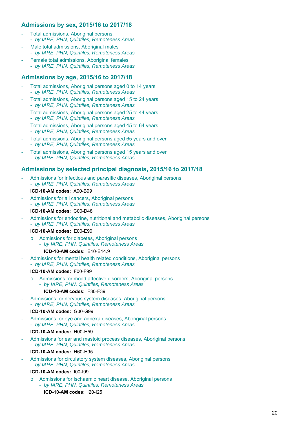### **Admissions by sex, 2015/16 to 2017/18**

- ‐ Total admissions, Aboriginal persons, - *by IARE, PHN, Quintiles, Remoteness Areas*
- ‐ Male total admissions, Aboriginal males - *by IARE, PHN, Quintiles, Remoteness Areas*
- ‐ Female total admissions, Aboriginal females
	- *by IARE, PHN, Quintiles, Remoteness Areas*

### **Admissions by age, 2015/16 to 2017/18**

- ‐ Total admissions, Aboriginal persons aged 0 to 14 years - *by IARE, PHN, Quintiles, Remoteness Areas*
- ‐ Total admissions, Aboriginal persons aged 15 to 24 years - *by IARE, PHN, Quintiles, Remoteness Areas*
- ‐ Total admissions, Aboriginal persons aged 25 to 44 years - *by IARE, PHN, Quintiles, Remoteness Areas*
- ‐ Total admissions, Aboriginal persons aged 45 to 64 years - *by IARE, PHN, Quintiles, Remoteness Areas*
- Total admissions, Aboriginal persons aged 65 years and over
- *by IARE, PHN, Quintiles, Remoteness Areas*
- ‐ Total admissions, Aboriginal persons aged 15 years and over - *by IARE, PHN, Quintiles, Remoteness Areas*

### **Admissions by selected principal diagnosis, 2015/16 to 2017/18**

- ‐ Admissions for infectious and parasitic diseases, Aboriginal persons - *by IARE, PHN, Quintiles, Remoteness Areas* 
	- **ICD-10-AM codes**: A00-B99
- Admissions for all cancers, Aboriginal persons - *by IARE, PHN, Quintiles, Remoteness Areas* 
	- **ICD-10-AM codes**: C00-D48
- ‐ Admissions for endocrine, nutritional and metabolic diseases, Aboriginal persons
- *by IARE, PHN, Quintiles, Remoteness Areas*

### **ICD-10-AM codes:** E00-E90

o Admissions for diabetes, Aboriginal persons - *by IARE, PHN, Quintiles, Remoteness Areas* 

### **ICD-10-AM codes:** E10-E14.9

‐ Admissions for mental health related conditions, Aboriginal persons - *by IARE, PHN, Quintiles, Remoteness Areas* 

#### **ICD-10-AM codes:** F00-F99

- o Admissions for mood affective disorders, Aboriginal persons
	- *by IARE, PHN, Quintiles, Remoteness Areas*

### **ICD-10-AM codes:** F30-F39

Admissions for nervous system diseases, Aboriginal persons - *by IARE, PHN, Quintiles, Remoteness Areas* 

#### **ICD-10-AM codes:** G00-G99

Admissions for eye and adnexa diseases, Aboriginal persons - *by IARE, PHN, Quintiles, Remoteness Areas* 

#### **ICD-10-AM codes:** H00-H59

‐ Admissions for ear and mastoid process diseases, Aboriginal persons - *by IARE, PHN, Quintiles, Remoteness Areas* 

#### **ICD-10-AM codes:** H60-H95

‐ Admissions for circulatory system diseases, Aboriginal persons - *by IARE, PHN, Quintiles, Remoteness Areas* 

### **ICD-10-AM codes:** I00-I99

o Admissions for ischaemic heart disease, Aboriginal persons - *by IARE, PHN, Quintiles, Remoteness Areas*  **ICD-10-AM codes:** I20-I25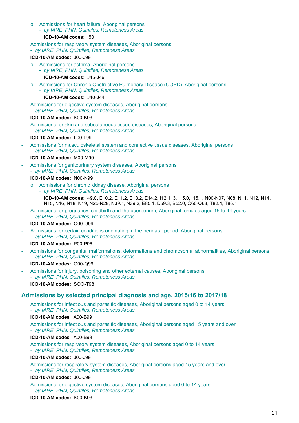- o Admissions for heart failure, Aboriginal persons
	- *by IARE, PHN, Quintiles, Remoteness Areas*  **ICD-10-AM codes:** I50
- ‐ Admissions for respiratory system diseases, Aboriginal persons
	- *by IARE, PHN, Quintiles, Remoteness Areas*
	- **ICD-10-AM codes:** J00-J99
	- o Admissions for asthma, Aboriginal persons - *by IARE, PHN, Quintiles, Remoteness Areas* 
		- **ICD-10-AM codes:** J45-J46
	- o Admissions for Chronic Obstructive Pulmonary Disease (COPD), Aboriginal persons
		- *by IARE, PHN, Quintiles, Remoteness Areas*

#### **ICD-10-AM codes:** J40-J44

‐ Admissions for digestive system diseases, Aboriginal persons - *by IARE, PHN, Quintiles, Remoteness Areas* 

#### **ICD-10-AM codes:** K00-K93

‐ Admissions for skin and subcutaneous tissue diseases, Aboriginal persons - *by IARE, PHN, Quintiles, Remoteness Areas* 

#### **ICD-10-AM codes: L**00-L99

‐ Admissions for musculoskeletal system and connective tissue diseases, Aboriginal persons - *by IARE, PHN, Quintiles, Remoteness Areas* 

#### **ICD-10-AM codes:** M00-M99

‐ Admissions for genitourinary system diseases, Aboriginal persons - *by IARE, PHN, Quintiles, Remoteness Areas* 

#### **ICD-10-AM codes:** N00-N99

- o Admissions for chronic kidney disease, Aboriginal persons - *by IARE, PHN, Quintiles, Remoteness Areas* 
	- **ICD-10-AM codes:** 49.0, E10.2, E11.2, E13.2, E14.2, I12, I13, I15.0, I15.1, N00-N07, N08, N11, N12, N14, N15, N16, N18, N19, N25-N28, N39.1, N39.2, E85.1, D59.3, B52.0, Q60-Q63, T82.4, T86.1
- ‐ Admissions for pregnancy, childbirth and the puerperium, Aboriginal females aged 15 to 44 years - *by IARE, PHN, Quintiles, Remoteness Areas*

### **ICD-10-AM codes:** O00-O99

‐ Admissions for certain conditions originating in the perinatal period, Aboriginal persons - *by IARE, PHN, Quintiles, Remoteness Areas* 

#### **ICD-10-AM codes:** P00-P96

- ‐ Admissions for congenital malformations, deformations and chromosomal abnormalities, Aboriginal persons - *by IARE, PHN, Quintiles, Remoteness Areas* 
	- **ICD-10-AM codes:** Q00-Q99
- ‐ Admissions for injury, poisoning and other external causes, Aboriginal persons - *by IARE, PHN, Quintiles, Remoteness Areas*  **ICD-10-AM codes:** SOO-T98

### **Admissions by selected principal diagnosis and age, 2015/16 to 2017/18**

- ‐ Admissions for infectious and parasitic diseases, Aboriginal persons aged 0 to 14 years - *by IARE, PHN, Quintiles, Remoteness Areas* 
	- **ICD-10-AM codes**: A00-B99
- ‐ Admissions for infectious and parasitic diseases, Aboriginal persons aged 15 years and over - *by IARE, PHN, Quintiles, Remoteness Areas* 
	- **ICD-10-AM codes**: A00-B99
- ‐ Admissions for respiratory system diseases, Aboriginal persons aged 0 to 14 years - *by IARE, PHN, Quintiles, Remoteness Areas*  **ICD-10-AM codes:** J00-J99
- ‐ Admissions for respiratory system diseases, Aboriginal persons aged 15 years and over - *by IARE, PHN, Quintiles, Remoteness Areas*

#### **ICD-10-AM codes:** J00-J99

‐ Admissions for digestive system diseases, Aboriginal persons aged 0 to 14 years - *by IARE, PHN, Quintiles, Remoteness Areas*  **ICD-10-AM codes:** K00-K93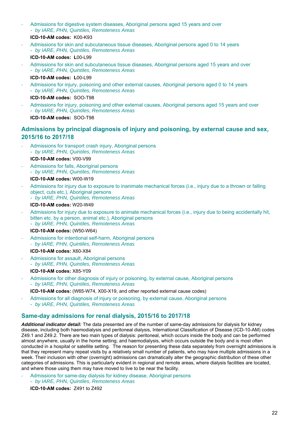- ‐ Admissions for digestive system diseases, Aboriginal persons aged 15 years and over - *by IARE, PHN, Quintiles, Remoteness Areas* 
	- **ICD-10-AM codes:** K00-K93
- ‐ Admissions for skin and subcutaneous tissue diseases, Aboriginal persons aged 0 to 14 years - *by IARE, PHN, Quintiles, Remoteness Areas* 
	- **ICD-10-AM codes: L**00-L99
- ‐ Admissions for skin and subcutaneous tissue diseases, Aboriginal persons aged 15 years and over - *by IARE, PHN, Quintiles, Remoteness Areas*  **ICD-10-AM codes: L**00-L99
- ‐ Admissions for injury, poisoning and other external causes, Aboriginal persons aged 0 to 14 years - *by IARE, PHN, Quintiles, Remoteness Areas* 
	- **ICD-10-AM codes:** SOO-T98
- ‐ Admissions for injury, poisoning and other external causes, Aboriginal persons aged 15 years and over - *by IARE, PHN, Quintiles, Remoteness Areas*  **ICD-10-AM codes:** SOO-T98

### **Admissions by principal diagnosis of injury and poisoning, by external cause and sex, 2015/16 to 2017/18**

- Admissions for transport crash injury, Aboriginal persons - *by IARE, PHN, Quintiles, Remoteness Areas*  **ICD-10-AM codes:** V00-V99
- ‐ Admissions for falls, Aboriginal persons
- *by IARE, PHN, Quintiles, Remoteness Areas*

### **ICD-10-AM codes:** W00-W19

- ‐ Admissions for injury due to exposure to inanimate mechanical forces (i.e., injury due to a thrown or falling object, cuts etc.), Aboriginal persons
	- *by IARE, PHN, Quintiles, Remoteness Areas*

#### **ICD-10-AM codes:** W20-W49

- Admissions for injury due to exposure to animate mechanical forces (i.e., injury due to being accidentally hit, bitten etc. by a person, animal etc.), Aboriginal persons - *by IARE, PHN, Quintiles, Remoteness Areas* 
	- **ICD-10-AM codes:** (W50-W64)
- ‐ Admissions for intentional self-harm, Aboriginal persons ‐ *by IARE, PHN, Quintiles, Remoteness Areas* 
	- **ICD-10-AM codes:** X60-X84
- Admissions for assault. Aboriginal persons - *by IARE, PHN, Quintiles, Remoteness Areas*  **ICD-10-AM codes:** X85-Y09
- ‐ Admissions for other diagnosis of injury or poisoning, by external cause, Aboriginal persons - *by IARE, PHN, Quintiles, Remoteness Areas* 
	- **ICD-10-AM codes:** (W65-W74, X00-X19, and other reported external cause codes)
	- ‐ Admissions for all diagnosis of injury or poisoning, by external cause, Aboriginal persons
	- *by IARE, PHN, Quintiles, Remoteness Areas*

## **Same-day admissions for renal dialysis, 2015/16 to 2017/18**

*Additional indicator detail:* The data presented are of the number of same-day admissions for dialysis for kidney disease, including both haemodialysis and peritoneal dialysis, International Classification of Disease (ICD-10-AM) codes Z49.1 and Z49.2. There are two main types of dialysis: peritoneal, which occurs inside the body and can be performed almost anywhere, usually in the home setting; and haemodialysis, which occurs outside the body and is most often conducted in a hospital or satellite setting. The reason for presenting these data separately from overnight admissions is that they represent many repeat visits by a relatively small number of patients, who may have multiple admissions in a week. Their inclusion with other (overnight) admissions can dramatically alter the geographic distribution of these other categories of admissions. This is particularly evident in regional and remote areas, where dialysis facilities are located, and where those using them may have moved to live to be near the facility.

‐ Admissions for same-day dialysis for kidney disease, Aboriginal persons - *by IARE, PHN, Quintiles, Remoteness Areas* 

**ICD-10-AM codes:** Z491 to Z492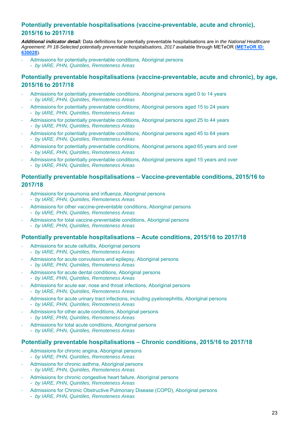### **Potentially preventable hospitalisations (vaccine-preventable, acute and chronic), 2015/16 to 2017/18**

*Additional indicator detail:* Data definitions for potentially preventable hospitalisations are in *the National Healthcare Agreement: PI 18-Selected potentially preventable hospitalisations, 2017* available through METeOR (**METeOR ID: 630028**).

- ‐ Admissions for potentially preventable conditions, Aboriginal persons
- *by IARE, PHN, Quintiles, Remoteness Areas*

### **Potentially preventable hospitalisations (vaccine-preventable, acute and chronic), by age, 2015/16 to 2017/18**

- ‐ Admissions for potentially preventable conditions, Aboriginal persons aged 0 to 14 years - *by IARE, PHN, Quintiles, Remoteness Areas*
- ‐ Admissions for potentially preventable conditions, Aboriginal persons aged 15 to 24 years - *by IARE, PHN, Quintiles, Remoteness Areas*
- ‐ Admissions for potentially preventable conditions, Aboriginal persons aged 25 to 44 years - *by IARE, PHN, Quintiles, Remoteness Areas*
- ‐ Admissions for potentially preventable conditions, Aboriginal persons aged 45 to 64 years - *by IARE, PHN, Quintiles, Remoteness Areas*
- Admissions for potentially preventable conditions, Aboriginal persons aged 65 years and over - *by IARE, PHN, Quintiles, Remoteness Areas*
- ‐ Admissions for potentially preventable conditions, Aboriginal persons aged 15 years and over - *by IARE, PHN, Quintiles, Remoteness Areas*

### **Potentially preventable hospitalisations – Vaccine-preventable conditions, 2015/16 to 2017/18**

- Admissions for pneumonia and influenza, Aboriginal persons - *by IARE, PHN, Quintiles, Remoteness Areas*
- ‐ Admissions for other vaccine-preventable conditions, Aboriginal persons - *by IARE, PHN, Quintiles, Remoteness Areas*
- Admissions for total vaccine-preventable conditions, Aboriginal persons - *by IARE, PHN, Quintiles, Remoteness Areas*

### **Potentially preventable hospitalisations – Acute conditions, 2015/16 to 2017/18**

- Admissions for acute cellulitis, Aboriginal persons - *by IARE, PHN, Quintiles, Remoteness Areas*
- Admissions for acute convulsions and epilepsy, Aboriginal persons - *by IARE, PHN, Quintiles, Remoteness Areas*
- ‐ Admissions for acute dental conditions, Aboriginal persons - *by IARE, PHN, Quintiles, Remoteness Areas*
- Admissions for acute ear, nose and throat infections, Aboriginal persons - *by IARE, PHN, Quintiles, Remoteness Areas*
- ‐ Admissions for acute urinary tract infections, including pyelonephritis, Aboriginal persons - *by IARE, PHN, Quintiles, Remoteness Areas*
- Admissions for other acute conditions, Aboriginal persons - *by IARE, PHN, Quintiles, Remoteness Areas*
- Admissions for total acute conditions, Aboriginal persons
- *by IARE, PHN, Quintiles, Remoteness Areas*

### **Potentially preventable hospitalisations – Chronic conditions, 2015/16 to 2017/18**

- Admissions for chronic angina, Aboriginal persons - *by IARE, PHN, Quintiles, Remoteness Areas*
- Admissions for chronic asthma, Aboriginal persons
- *by IARE, PHN, Quintiles, Remoteness Areas*
- ‐ Admissions for chronic congestive heart failure, Aboriginal persons
- *by IARE, PHN, Quintiles, Remoteness Areas*
- ‐ Admissions for Chronic Obstructive Pulmonary Disease (COPD), Aboriginal persons
	- *by IARE, PHN, Quintiles, Remoteness Areas*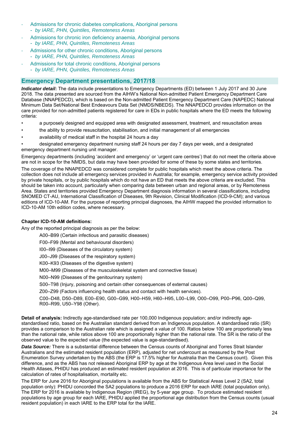- Admissions for chronic diabetes complications, Aboriginal persons
	- *by IARE, PHN, Quintiles, Remoteness Areas*
- Admissions for chronic iron deficiency anaemia, Aboriginal persons - *by IARE, PHN, Quintiles, Remoteness Areas*
- Admissions for other chronic conditions, Aboriginal persons
- *by IARE, PHN, Quintiles, Remoteness Areas*
- Admissions for total chronic conditions, Aboriginal persons - *by IARE, PHN, Quintiles, Remoteness Areas*

### **Emergency Department presentations, 2017/18**

*Indicator detail***:** The data include presentations to Emergency Departments (ED) between 1 July 2017 and 30 June 2018. The data presented are sourced from the AIHW's National Non-admitted Patient Emergency Department Care Database (NNAPEDCD), which is based on the Non-admitted Patient Emergency Department Care (NAPEDC) National Minimum Data Set/National Best Endeavours Data Set (NMDS/NBEDS). The NNAPEDCD provides information on the care provided for non-admitted patients registered for care in EDs in public hospitals where the ED meets the following criteria:

- a purposely designed and equipped area with designated assessment, treatment, and resuscitation areas
- the ability to provide resuscitation, stabilisation, and initial management of all emergencies
- availability of medical staff in the hospital 24 hours a day
- designated emergency department nursing staff 24 hours per day 7 days per week, and a designated emergency department nursing unit manager.

Emergency departments (including 'accident and emergency' or 'urgent care centres') that do not meet the criteria above are not in scope for the NMDS, but data may have been provided for some of these by some states and territories.

The coverage of the NNAPEDCD was considered complete for public hospitals which meet the above criteria. The collection does not include all emergency services provided in Australia; for example, emergency service activity provided by private hospitals, or by public hospitals which do not have an ED that meets the above criteria are excluded. This should be taken into account, particularly when comparing data between urban and regional areas, or by Remoteness Area. States and territories provided Emergency Department diagnosis information in several classifications, including SNOMED CT-AU, International Classification of Diseases, 9th Revision, Clinical Modification (ICD-9-CM); and various editions of ICD-10-AM. For the purpose of reporting principal diagnoses, the AIHW mapped the provided information to ICD-10-AM 10th edition codes, where necessary.

#### **Chapter ICD-10-AM definitions:**

Any of the reported principal diagnosis as per the below:

A00–B99 (Certain infectious and parasitic diseases)

F00–F99 (Mental and behavioural disorders)

I00–I99 (Diseases of the circulatory system)

J00–J99 (Diseases of the respiratory system)

K00–K93 (Diseases of the digestive system)

M00–M99 (Diseases of the musculoskeletal system and connective tissue)

N00–N99 (Diseases of the genitourinary system)

S00–T98 (Injury, poisoning and certain other consequences of external causes)

Z00–Z99 (Factors influencing health status and contact with health services).

C00–D48, D50–D89, E00–E90, G00–G99, H00–H59, H60–H95, L00–L99, O00–O99, P00–P96, Q00–Q99, R00–R99, U50–Y98 (Other).

**Detail of analysis:** Indirectly age-standardised rate per 100,000 Indigenous population; and/or indirectly agestandardised ratio, based on the Australian standard derived from an Indigenous population. A standardised ratio (SR) provides a comparison to the Australian rate which is assigned a value of 100. Ratios below 100 are proportionally less than the national rate, while ratios above 100 are proportionally higher than the national rate. The SR is the ratio of the observed value to the expected value (the expected value is age-standardised).

*Data Source:* There is a substantial difference between the Census counts of Aboriginal and Torres Strait Islander Australians and the estimated resident population (ERP), adjusted for net undercount as measured by the Post Enumeration Survey undertaken by the ABS (the ERP is 17.5% higher for Australia than the Census count). Given this difference, and as the ABS has not released Aboriginal ERP by age at the Indigenous Area level used in the Social Health Atlases, PHIDU has produced an estimated resident population at 2016. This is of particular importance for the calculation of rates of hospitalisation, mortality etc.

The ERP for June 2016 for Aboriginal populations is available from the ABS for Statistical Areas Level 2 (SA2, total population only): PHIDU concorded the SA2 populations to produce a 2016 ERP for each IARE (total population only). The ERP for 2016 is available by Indigenous Region (IREG), by 5-year age group. To produce estimated resident populations by age group for each IARE, PHIDU applied the proportional age distribution from the Census counts (usual resident population) in each IARE to the ERP total for the IARE.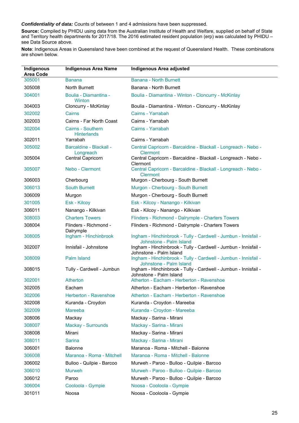#### *Confidentiality of data:* Counts of between 1 and 4 admissions have been suppressed.

**Source:** Compiled by PHIDU using data from the Australian Institute of Health and Welfare, supplied on behalf of State and Territory health departments for 2017/18. The 2016 estimated resident population (erp) was calculated by PHIDU – see Data Source above.

**Note**: Indigenous Areas in Queensland have been combined at the request of Queensland Health. These combinations are shown below.

| Indigenous<br><b>Area Code</b> | <b>Indigenous Area Name</b>                    | <b>Indigenous Area adjusted</b>                                                            |
|--------------------------------|------------------------------------------------|--------------------------------------------------------------------------------------------|
| 305001                         | Banana                                         | Banana - North Burnett                                                                     |
| 305008                         | North Burnett                                  | Banana - North Burnett                                                                     |
| 304001                         | Boulia - Diamantina -<br>Winton                | Boulia - Diamantina - Winton - Cloncurry - McKinlay                                        |
| 304003                         | Cloncurry - McKinlay                           | Boulia - Diamantina - Winton - Cloncurry - McKinlay                                        |
| 302002                         | Cairns                                         | Cairns - Yarrabah                                                                          |
| 302003                         | Cairns - Far North Coast                       | Cairns - Yarrabah                                                                          |
| 302004                         | <b>Cairns - Southern</b><br><b>Hinterlands</b> | Cairns - Yarrabah                                                                          |
| 302011                         | Yarrabah                                       | Cairns - Yarrabah                                                                          |
| 305002                         | <b>Barcaldine - Blackall -</b><br>Longreach    | Central Capricorn - Barcaldine - Blackall - Longreach - Nebo -<br><b>Clermont</b>          |
| 305004                         | Central Capricorn                              | Central Capricorn - Barcaldine - Blackall - Longreach - Nebo -<br>Clermont                 |
| 305007                         | Nebo - Clermont                                | Central Capricorn - Barcaldine - Blackall - Longreach - Nebo -<br><b>Clermont</b>          |
| 306003                         | Cherbourg                                      | Murgon - Cherbourg - South Burnett                                                         |
| 306013                         | <b>South Burnett</b>                           | Murgon - Cherbourg - South Burnett                                                         |
| 306009                         | Murgon                                         | Murgon - Cherbourg - South Burnett                                                         |
| 301005                         | Esk - Kilcoy                                   | Esk - Kilcoy - Nanango - Kilkivan                                                          |
| 306011                         | Nanango - Kilkivan                             | Esk - Kilcoy - Nanango - Kilkivan                                                          |
| 308003                         | <b>Charters Towers</b>                         | Flinders - Richmond - Dalrymple - Charters Towers                                          |
| 308004                         | Flinders - Richmond -<br>Dalrymple             | Flinders - Richmond - Dalrymple - Charters Towers                                          |
| 308005                         | Ingham - Hinchinbrook                          | Ingham - Hinchinbrook - Tully - Cardwell - Jumbun - Innisfail -<br>Johnstone - Palm Island |
| 302007                         | Innisfail - Johnstone                          | Ingham - Hinchinbrook - Tully - Cardwell - Jumbun - Innisfail -<br>Johnstone - Palm Island |
| 308009                         | <b>Palm Island</b>                             | Ingham - Hinchinbrook - Tully - Cardwell - Jumbun - Innisfail -<br>Johnstone - Palm Island |
| 308015                         | Tully - Cardwell - Jumbun                      | Ingham - Hinchinbrook - Tully - Cardwell - Jumbun - Innisfail -<br>Johnstone - Palm Island |
| 302001                         | <b>Atherton</b>                                | Atherton - Eacham - Herberton - Ravenshoe                                                  |
| 302005                         | Eacham                                         | Atherton - Eacham - Herberton - Ravenshoe                                                  |
| 302006                         | Herberton - Ravenshoe                          | Atherton - Eacham - Herberton - Ravenshoe                                                  |
| 302008                         | Kuranda - Croydon                              | Kuranda - Croydon - Mareeba                                                                |
| 302009                         | <b>Mareeba</b>                                 | Kuranda - Croydon - Mareeba                                                                |
| 308006                         | Mackay                                         | Mackay - Sarina - Mirani                                                                   |
| 308007                         | Mackay - Surrounds                             | Mackay - Sarina - Mirani                                                                   |
| 308008                         | Mirani                                         | Mackay - Sarina - Mirani                                                                   |
| 308011                         | <b>Sarina</b>                                  | Mackay - Sarina - Mirani                                                                   |
| 306001                         | <b>Balonne</b>                                 | Maranoa - Roma - Mitchell - Balonne                                                        |
| 306008                         | Maranoa - Roma - Mitchell                      | Maranoa - Roma - Mitchell - Balonne                                                        |
| 306002                         | Bulloo - Quilpie - Barcoo                      | Murweh - Paroo - Bulloo - Quilpie - Barcoo                                                 |
| 306010                         | <b>Murweh</b>                                  | Murweh - Paroo - Bulloo - Quilpie - Barcoo                                                 |
| 306012                         | Paroo                                          | Murweh - Paroo - Bulloo - Quilpie - Barcoo                                                 |
| 306004                         | Cooloola - Gympie                              | Noosa - Cooloola - Gympie                                                                  |
| 301011                         | Noosa                                          | Noosa - Cooloola - Gympie                                                                  |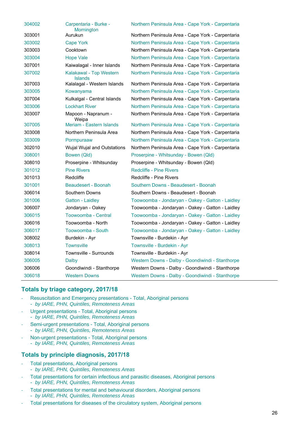| 304002 | Carpentaria - Burke -<br>Mornington       | Northern Peninsula Area - Cape York - Carpentaria |
|--------|-------------------------------------------|---------------------------------------------------|
| 303001 | Aurukun                                   | Northern Peninsula Area - Cape York - Carpentaria |
| 303002 | <b>Cape York</b>                          | Northern Peninsula Area - Cape York - Carpentaria |
| 303003 | Cooktown                                  | Northern Peninsula Area - Cape York - Carpentaria |
| 303004 | <b>Hope Vale</b>                          | Northern Peninsula Area - Cape York - Carpentaria |
| 307001 | Kaiwalagal - Inner Islands                | Northern Peninsula Area - Cape York - Carpentaria |
| 307002 | Kalakawal - Top Western<br><b>Islands</b> | Northern Peninsula Area - Cape York - Carpentaria |
| 307003 | Kalalagal - Western Islands               | Northern Peninsula Area - Cape York - Carpentaria |
| 303005 | Kowanyama                                 | Northern Peninsula Area - Cape York - Carpentaria |
| 307004 | Kulkalgal - Central Islands               | Northern Peninsula Area - Cape York - Carpentaria |
| 303006 | <b>Lockhart River</b>                     | Northern Peninsula Area - Cape York - Carpentaria |
| 303007 | Mapoon - Napranum -<br>Weipa              | Northern Peninsula Area - Cape York - Carpentaria |
| 307005 | Meriam - Eastern Islands                  | Northern Peninsula Area - Cape York - Carpentaria |
| 303008 | Northern Peninsula Area                   | Northern Peninsula Area - Cape York - Carpentaria |
| 303009 | Pormpuraaw                                | Northern Peninsula Area - Cape York - Carpentaria |
| 302010 | Wujal Wujal and Outstations               | Northern Peninsula Area - Cape York - Carpentaria |
| 308001 | Bowen (Qld)                               | Proserpine - Whitsunday - Bowen (Qld)             |
| 308010 | Proserpine - Whitsunday                   | Proserpine - Whitsunday - Bowen (Qld)             |
| 301012 | <b>Pine Rivers</b>                        | <b>Redcliffe - Pine Rivers</b>                    |
| 301013 | Redcliffe                                 | Redcliffe - Pine Rivers                           |
| 301001 | Beaudesert - Boonah                       | Southern Downs - Beaudesert - Boonah              |
| 306014 | Southern Downs                            | Southern Downs - Beaudesert - Boonah              |
| 301006 | <b>Gatton - Laidley</b>                   | Toowoomba - Jondaryan - Oakey - Gatton - Laidley  |
| 306007 | Jondaryan - Oakey                         | Toowoomba - Jondaryan - Oakey - Gatton - Laidley  |
| 306015 | Toowoomba - Central                       | Toowoomba - Jondaryan - Oakey - Gatton - Laidley  |
| 306016 | Toowoomba - North                         | Toowoomba - Jondaryan - Oakey - Gatton - Laidley  |
| 306017 | Toowoomba - South                         | Toowoomba - Jondaryan - Oakey - Gatton - Laidley  |
| 308002 | Burdekin - Ayr                            | Townsville - Burdekin - Ayr                       |
| 308013 | <b>Townsville</b>                         | Townsville - Burdekin - Ayr                       |
| 308014 | Townsville - Surrounds                    | Townsville - Burdekin - Ayr                       |
| 306005 | Dalby                                     | Western Downs - Dalby - Goondiwindi - Stanthorpe  |
| 306006 | Goondiwindi - Stanthorpe                  | Western Downs - Dalby - Goondiwindi - Stanthorpe  |
| 306018 | <b>Western Downs</b>                      | Western Downs - Dalby - Goondiwindi - Stanthorpe  |

### **Totals by triage category, 2017/18**

- ‐ Resuscitation and Emergency presentations Total, Aboriginal persons - *by IARE, PHN, Quintiles, Remoteness Areas*
- ‐ Urgent presentations Total, Aboriginal persons - *by IARE, PHN, Quintiles, Remoteness Areas*
- Semi-urgent presentations Total, Aboriginal persons
- *by IARE, PHN, Quintiles, Remoteness Areas*
- ‐ Non-urgent presentations Total, Aboriginal persons - *by IARE, PHN, Quintiles, Remoteness Areas*

### **Totals by principle diagnosis, 2017/18**

- ‐ Total presentations, Aboriginal persons
- *by IARE, PHN, Quintiles, Remoteness Areas*
- ‐ Total presentations for certain infectious and parasitic diseases, Aboriginal persons - *by IARE, PHN, Quintiles, Remoteness Areas*
- ‐ Total presentations for mental and behavioural disorders, Aboriginal persons - *by IARE, PHN, Quintiles, Remoteness Areas*
- ‐ Total presentations for diseases of the circulatory system, Aboriginal persons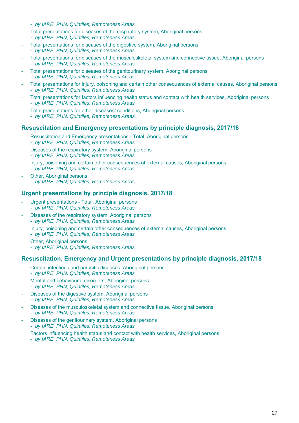- *by IARE, PHN, Quintiles, Remoteness Areas*
- ‐ Total presentations for diseases of the respiratory system, Aboriginal persons - *by IARE, PHN, Quintiles, Remoteness Areas*
- ‐ Total presentations for diseases of the digestive system, Aboriginal persons - *by IARE, PHN, Quintiles, Remoteness Areas*
- ‐ Total presentations for diseases of the musculoskeletal system and connective tissue, Aboriginal persons - *by IARE, PHN, Quintiles, Remoteness Areas*
- ‐ Total presentations for diseases of the genitourinary system, Aboriginal persons - *by IARE, PHN, Quintiles, Remoteness Areas*
- ‐ Total presentations for injury, poisoning and certain other consequences of external causes, Aboriginal persons - *by IARE, PHN, Quintiles, Remoteness Areas*
- ‐ Total presentations for factors influencing health status and contact with health services, Aboriginal persons - *by IARE, PHN, Quintiles, Remoteness Areas*
- ‐ Total presentations for other diseases/ conditions, Aboriginal persons - *by IARE, PHN, Quintiles, Remoteness Areas*

### **Resuscitation and Emergency presentations by principle diagnosis, 2017/18**

- ‐ Resuscitation and Emergency presentations Total, Aboriginal persons - *by IARE, PHN, Quintiles, Remoteness Areas*
- Diseases of the respiratory system, Aboriginal persons - *by IARE, PHN, Quintiles, Remoteness Areas*
- ‐ Injury, poisoning and certain other consequences of external causes, Aboriginal persons - *by IARE, PHN, Quintiles, Remoteness Areas*
- **Other, Aboriginal persons** - *by IARE, PHN, Quintiles, Remoteness Areas*

### **Urgent presentations by principle diagnosis, 2017/18**

- Urgent presentations Total, Aboriginal persons - *by IARE, PHN, Quintiles, Remoteness Areas*
- Diseases of the respiratory system, Aboriginal persons - *by IARE, PHN, Quintiles, Remoteness Areas*
- ‐ Injury, poisoning and certain other consequences of external causes, Aboriginal persons - *by IARE, PHN, Quintiles, Remoteness Areas*
- **Other, Aboriginal persons** - *by IARE, PHN, Quintiles, Remoteness Areas*

### **Resuscitation, Emergency and Urgent presentations by principle diagnosis, 2017/18**

- ‐ Certain infectious and parasitic diseases, Aboriginal persons - *by IARE, PHN, Quintiles, Remoteness Areas*
- Mental and behavioural disorders, Aboriginal persons - *by IARE, PHN, Quintiles, Remoteness Areas*
- ‐ Diseases of the digestive system, Aboriginal persons - *by IARE, PHN, Quintiles, Remoteness Areas*
- ‐ Diseases of the musculoskeletal system and connective tissue, Aboriginal persons - *by IARE, PHN, Quintiles, Remoteness Areas*
- ‐ Diseases of the genitourinary system, Aboriginal persons - *by IARE, PHN, Quintiles, Remoteness Areas*
- Factors influencing health status and contact with health services, Aboriginal persons - *by IARE, PHN, Quintiles, Remoteness Areas*